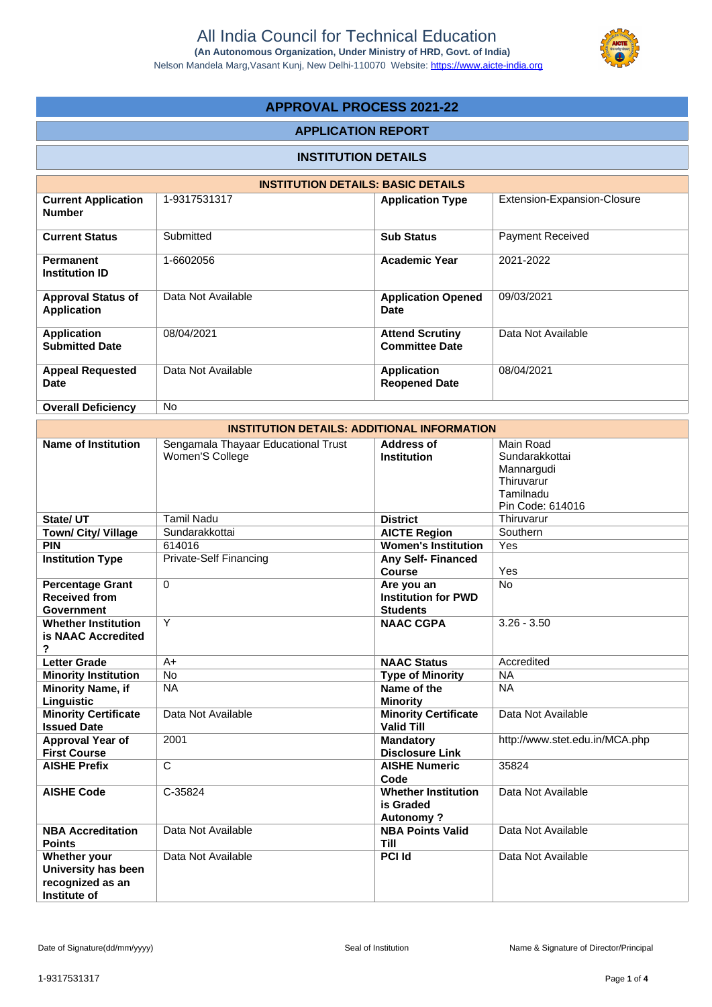Nelson Mandela Marg,Vasant Kunj, New Delhi-110070 Website:<https://www.aicte-india.org>



# **APPROVAL PROCESS 2021-22**

# **APPLICATION REPORT**

# **INSTITUTION DETAILS**

|                                                 | <b>INSTITUTION DETAILS: BASIC DETAILS</b> |                                                 |                             |  |  |  |  |  |  |  |
|-------------------------------------------------|-------------------------------------------|-------------------------------------------------|-----------------------------|--|--|--|--|--|--|--|
| <b>Current Application</b><br><b>Number</b>     | 1-9317531317                              | <b>Application Type</b>                         | Extension-Expansion-Closure |  |  |  |  |  |  |  |
| <b>Current Status</b>                           | Submitted                                 | <b>Sub Status</b>                               | <b>Payment Received</b>     |  |  |  |  |  |  |  |
| <b>Permanent</b><br><b>Institution ID</b>       | 1-6602056                                 | <b>Academic Year</b>                            | 2021-2022                   |  |  |  |  |  |  |  |
| <b>Approval Status of</b><br><b>Application</b> | Data Not Available                        | <b>Application Opened</b><br>Date               | 09/03/2021                  |  |  |  |  |  |  |  |
| Application<br><b>Submitted Date</b>            | 08/04/2021                                | <b>Attend Scrutiny</b><br><b>Committee Date</b> | Data Not Available          |  |  |  |  |  |  |  |
| <b>Appeal Requested</b><br>Date                 | Data Not Available                        | <b>Application</b><br><b>Reopened Date</b>      | 08/04/2021                  |  |  |  |  |  |  |  |
| <b>Overall Deficiency</b>                       | <b>No</b>                                 |                                                 |                             |  |  |  |  |  |  |  |

| <b>INSTITUTION DETAILS: ADDITIONAL INFORMATION</b>                      |                                                        |                                                             |                                                                                          |  |  |  |  |  |
|-------------------------------------------------------------------------|--------------------------------------------------------|-------------------------------------------------------------|------------------------------------------------------------------------------------------|--|--|--|--|--|
| <b>Name of Institution</b>                                              | Sengamala Thayaar Educational Trust<br>Women'S College | <b>Address of</b><br><b>Institution</b>                     | Main Road<br>Sundarakkottai<br>Mannargudi<br>Thiruvarur<br>Tamilnadu<br>Pin Code: 614016 |  |  |  |  |  |
| State/ UT                                                               | <b>Tamil Nadu</b>                                      | <b>District</b>                                             | Thiruvarur                                                                               |  |  |  |  |  |
| Town/ City/ Village                                                     | Sundarakkottai                                         | <b>AICTE Region</b>                                         | Southern                                                                                 |  |  |  |  |  |
| <b>PIN</b>                                                              | 614016                                                 | <b>Women's Institution</b>                                  | Yes                                                                                      |  |  |  |  |  |
| <b>Institution Type</b>                                                 | <b>Private-Self Financing</b>                          | Any Self-Financed<br><b>Course</b>                          | Yes                                                                                      |  |  |  |  |  |
| <b>Percentage Grant</b><br><b>Received from</b><br>Government           | $\Omega$                                               | Are you an<br><b>Institution for PWD</b><br><b>Students</b> | <b>No</b>                                                                                |  |  |  |  |  |
| <b>Whether Institution</b><br>is NAAC Accredited<br>2                   | Y                                                      | <b>NAAC CGPA</b>                                            | $3.26 - 3.50$                                                                            |  |  |  |  |  |
| <b>Letter Grade</b>                                                     | $A+$                                                   | <b>NAAC Status</b>                                          | Accredited                                                                               |  |  |  |  |  |
| <b>Minority Institution</b>                                             | $\overline{No}$                                        | <b>Type of Minority</b>                                     | <b>NA</b>                                                                                |  |  |  |  |  |
| <b>Minority Name, if</b><br>Linguistic                                  | <b>NA</b>                                              | Name of the<br><b>Minority</b>                              | <b>NA</b>                                                                                |  |  |  |  |  |
| <b>Minority Certificate</b><br><b>Issued Date</b>                       | Data Not Available                                     | <b>Minority Certificate</b><br><b>Valid Till</b>            | Data Not Available                                                                       |  |  |  |  |  |
| <b>Approval Year of</b><br><b>First Course</b>                          | 2001                                                   | <b>Mandatory</b><br><b>Disclosure Link</b>                  | http://www.stet.edu.in/MCA.php                                                           |  |  |  |  |  |
| <b>AISHE Prefix</b>                                                     | C                                                      | <b>AISHE Numeric</b><br>Code                                | 35824                                                                                    |  |  |  |  |  |
| <b>AISHE Code</b>                                                       | C-35824                                                | <b>Whether Institution</b><br>is Graded<br><b>Autonomy?</b> | Data Not Available                                                                       |  |  |  |  |  |
| <b>NBA Accreditation</b><br><b>Points</b>                               | Data Not Available                                     | <b>NBA Points Valid</b><br><b>Till</b>                      | Data Not Available                                                                       |  |  |  |  |  |
| Whether your<br>University has been<br>recognized as an<br>Institute of | Data Not Available                                     | <b>PCI Id</b>                                               | Data Not Available                                                                       |  |  |  |  |  |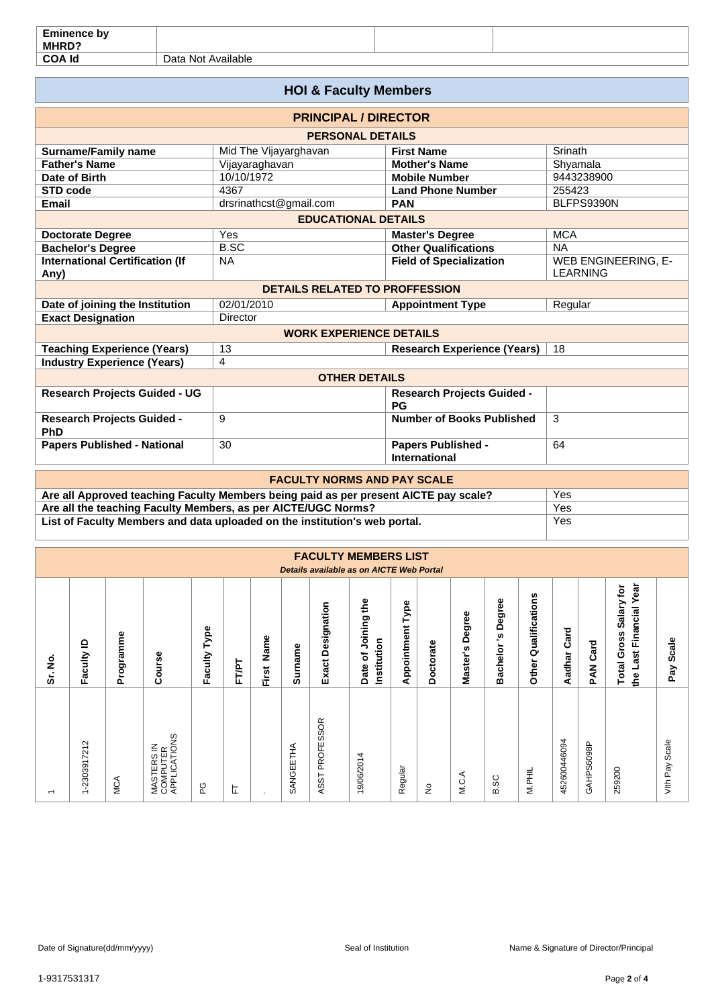| <b>Eminence by</b><br>MHRD? |                                |  |
|-----------------------------|--------------------------------|--|
| <b>COA Id</b>               | <br>Available<br>Data<br>. Not |  |

| <b>HOI &amp; Faculty Members</b>                                                                                              |                                    |                                                   |                                        |  |  |  |  |  |  |
|-------------------------------------------------------------------------------------------------------------------------------|------------------------------------|---------------------------------------------------|----------------------------------------|--|--|--|--|--|--|
| <b>PRINCIPAL / DIRECTOR</b>                                                                                                   |                                    |                                                   |                                        |  |  |  |  |  |  |
| <b>PERSONAL DETAILS</b>                                                                                                       |                                    |                                                   |                                        |  |  |  |  |  |  |
| <b>Surname/Family name</b>                                                                                                    | Mid The Vijayarghavan              | Srinath<br><b>First Name</b>                      |                                        |  |  |  |  |  |  |
| <b>Father's Name</b>                                                                                                          | Vijayaraghavan                     | <b>Mother's Name</b>                              | Shyamala                               |  |  |  |  |  |  |
| Date of Birth                                                                                                                 | 10/10/1972                         | <b>Mobile Number</b>                              | 9443238900                             |  |  |  |  |  |  |
| STD code                                                                                                                      | 4367                               | <b>Land Phone Number</b>                          | 255423                                 |  |  |  |  |  |  |
| <b>Email</b>                                                                                                                  | drsrinathcst@gmail.com             | <b>PAN</b>                                        | BLFPS9390N                             |  |  |  |  |  |  |
| <b>EDUCATIONAL DETAILS</b>                                                                                                    |                                    |                                                   |                                        |  |  |  |  |  |  |
| <b>Doctorate Degree</b>                                                                                                       | Yes                                | <b>Master's Degree</b>                            | <b>MCA</b>                             |  |  |  |  |  |  |
| <b>Bachelor's Degree</b>                                                                                                      | <b>B.SC</b>                        | <b>Other Qualifications</b>                       | <b>NA</b>                              |  |  |  |  |  |  |
| <b>International Certification (If</b><br>Any)                                                                                | <b>NA</b>                          | <b>Field of Specialization</b>                    | WEB ENGINEERING, E-<br><b>LEARNING</b> |  |  |  |  |  |  |
| <b>DETAILS RELATED TO PROFFESSION</b>                                                                                         |                                    |                                                   |                                        |  |  |  |  |  |  |
| Date of joining the Institution                                                                                               | 02/01/2010                         | <b>Appointment Type</b>                           | Regular                                |  |  |  |  |  |  |
| <b>Exact Designation</b>                                                                                                      | Director                           |                                                   |                                        |  |  |  |  |  |  |
|                                                                                                                               | <b>WORK EXPERIENCE DETAILS</b>     |                                                   |                                        |  |  |  |  |  |  |
| <b>Teaching Experience (Years)</b>                                                                                            | 13                                 | <b>Research Experience (Years)</b>                | 18                                     |  |  |  |  |  |  |
| <b>Industry Experience (Years)</b>                                                                                            | 4                                  |                                                   |                                        |  |  |  |  |  |  |
|                                                                                                                               | <b>OTHER DETAILS</b>               |                                                   |                                        |  |  |  |  |  |  |
| <b>Research Projects Guided - UG</b>                                                                                          |                                    | <b>Research Projects Guided -</b><br>PG           |                                        |  |  |  |  |  |  |
| <b>Research Projects Guided -</b><br>PhD                                                                                      | 9                                  | <b>Number of Books Published</b>                  | 3                                      |  |  |  |  |  |  |
| <b>Papers Published - National</b>                                                                                            | 30                                 | <b>Papers Published -</b><br><b>International</b> | 64                                     |  |  |  |  |  |  |
|                                                                                                                               | <b>FACULTY NORMS AND PAY SCALE</b> |                                                   |                                        |  |  |  |  |  |  |
| Are all Approved teaching Faculty Members being paid as per present AICTE pay scale?                                          |                                    |                                                   | Yes                                    |  |  |  |  |  |  |
| $\mathbf{H}$ and $\mathbf{H}$ and $\mathbf{H}$ and $\mathbf{H}$ and $\mathbf{H}$ are assumed to $\mathbf{H}$ and $\mathbf{H}$ | $\lambda$ .                        |                                                   |                                        |  |  |  |  |  |  |

**Are all the teaching Faculty Members, as per AICTE/UGC Norms?** The all the teaching Faculty Members and data uploaded on the institution's web portal. The Ves List of Faculty Members and data uploaded on the institution's web portal.

|                          |                                                                   |           |                                        |                 |       |               |           |                           | <b>FACULTY MEMBERS LIST</b><br>Details available as on AICTE Web Portal |                     |           |                     |                                         |                         |                |                    |                                                                         |                |
|--------------------------|-------------------------------------------------------------------|-----------|----------------------------------------|-----------------|-------|---------------|-----------|---------------------------|-------------------------------------------------------------------------|---------------------|-----------|---------------------|-----------------------------------------|-------------------------|----------------|--------------------|-------------------------------------------------------------------------|----------------|
| ş<br>ຮັ                  | ≘<br>Faculty                                                      | Programme | Course                                 | Type<br>Faculty | FT/PT | Name<br>First | Surname   | Designation<br>Exact      | Joining the<br>Institution<br>Date of                                   | Type<br>Appointment | Doctorate | Degree<br>Master's  | ω<br>Degree<br><u>ي</u><br>achelor<br>≃ | Qualifications<br>Other | Card<br>Aadhar | Card<br><b>PAN</b> | Year<br>tor<br>Salary<br>Financial<br><b>Total Gross</b><br>Last<br>eq. | Scale<br>Pay   |
| $\overline{\phantom{0}}$ | $\sim$<br>$\overline{\mathbf{z}}$<br>$-2303917$<br>$\overline{ }$ | MCA       | MASTERS IN<br>COMPUTER<br>APPLICATIONS | ပို             | 됴     | ٠             | SANGEETHA | SSOR<br>PROFE<br>SST<br>⋖ | 4<br>19/06/201                                                          | Regular             | ş         | ⋖,<br>$\frac{C}{N}$ | B.SC                                    | M.PHIL                  | 452600446094   | GAHPS6098P         | 259200                                                                  | Vith Pay Scale |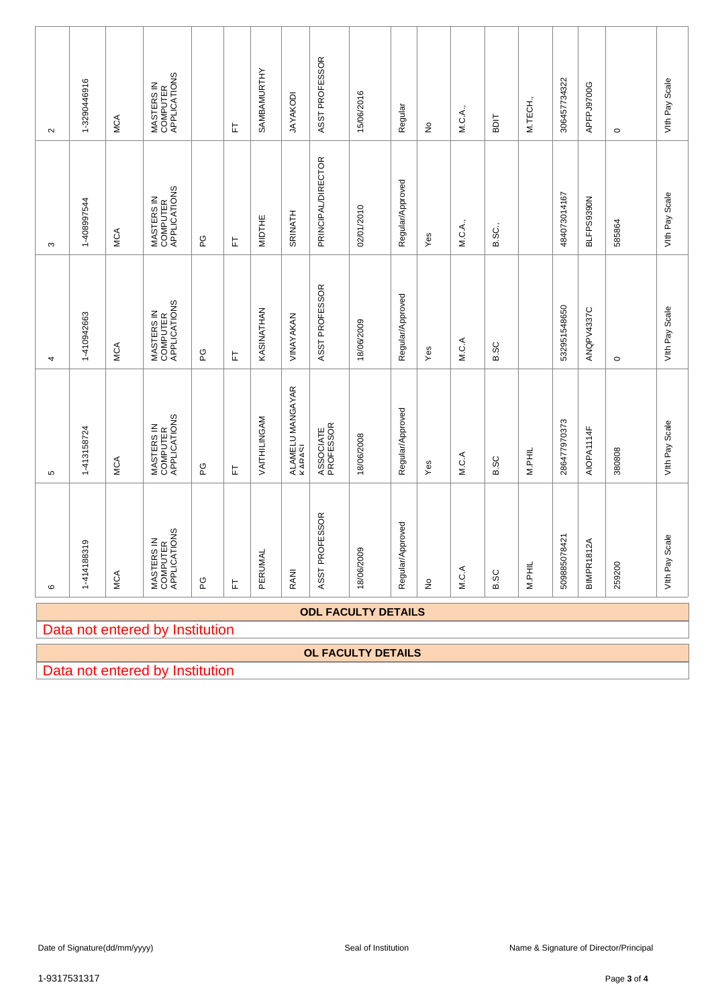| $\sim$           | 1-3290446916                                                  | MCA        | MASTERS IN<br>COMPUTER<br>APPLICATIONS |     | 匸 | SAMBAMURTHY   | <b>JAYAKODI</b>            | ASST PROFESSOR         | 15/06/2016     | Regular          | ş                 | M.C.A., | <b>TIGS</b> | M.TECH., | 306457734322      | APFPJ9700G | $\circ$ | Vith Pay Scale            |  |  |  |  |  |  |  |  |  |
|------------------|---------------------------------------------------------------|------------|----------------------------------------|-----|---|---------------|----------------------------|------------------------|----------------|------------------|-------------------|---------|-------------|----------|-------------------|------------|---------|---------------------------|--|--|--|--|--|--|--|--|--|
| S                | 1-408997544                                                   | <b>MCA</b> | MASTERS IN<br>COMPUTER<br>APPLICATIONS | ပ္စ | 匸 | <b>MIDTHE</b> | <b>SRINATH</b>             | PRINCIPAL/DIRECTOR     | 02/01/2010     | Regular/Approved | Yes               | M.C.A., | B.SC.,      |          | 484073014167      | BLFPS9390N | 585864  | Vith Pay Scale            |  |  |  |  |  |  |  |  |  |
| 4                | 1-410942663                                                   | <b>MCA</b> | MASTERS IN<br>COMPUTER<br>APPLICATIONS | ဥ   | 匸 | KASINATHAN    | VINAYAKAN                  | ASST PROFESSOR         | 18/06/2009     | Regular/Approved | Yes               | M.C.A   | <b>B.SC</b> |          | 532951548650      | ANQPV4337C | $\circ$ | Vith Pay Scale            |  |  |  |  |  |  |  |  |  |
| Б                | 1-413158724                                                   | MCA        | MASTERS IN<br>COMPUTER<br>APPLICATIONS | ပ္စ | 匸 | VAITHILINGAM  | ALAMELU MANGAYAR<br>KARASI | ASSOCIATE<br>PROFESSOR | 18/06/2008     | Regular/Approved | Yes               | M.C.A   | B.SC        | M.PHIL   | 286477970373      | AIOPA1114F | 380808  | Vith Pay Scale            |  |  |  |  |  |  |  |  |  |
| $\mathbf{\circ}$ | 1-414188319                                                   | MCA        | MASTERS IN<br>COMPUTER<br>APPLICATIONS | ဥ   | 눈 | PERUMAL       | RANI                       | ASST PROFESSOR         | Ō<br>18/06/200 | Regular/Approved | $\frac{\circ}{2}$ | M.C.A   | B.SC        | M.PHIL   | '8421<br>50988507 | BIMPR1812A | 259200  | Scale<br>Vith Pay         |  |  |  |  |  |  |  |  |  |
|                  | <b>ODL FACULTY DETAILS</b><br>Data not entered by Institution |            |                                        |     |   |               |                            |                        |                |                  |                   |         |             |          |                   |            |         |                           |  |  |  |  |  |  |  |  |  |
|                  |                                                               |            |                                        |     |   |               |                            |                        |                |                  |                   |         |             |          |                   |            |         |                           |  |  |  |  |  |  |  |  |  |
|                  |                                                               |            |                                        |     |   |               |                            |                        |                |                  |                   |         |             |          |                   |            |         | <b>OL FACULTY DETAILS</b> |  |  |  |  |  |  |  |  |  |

Data not entered by Institution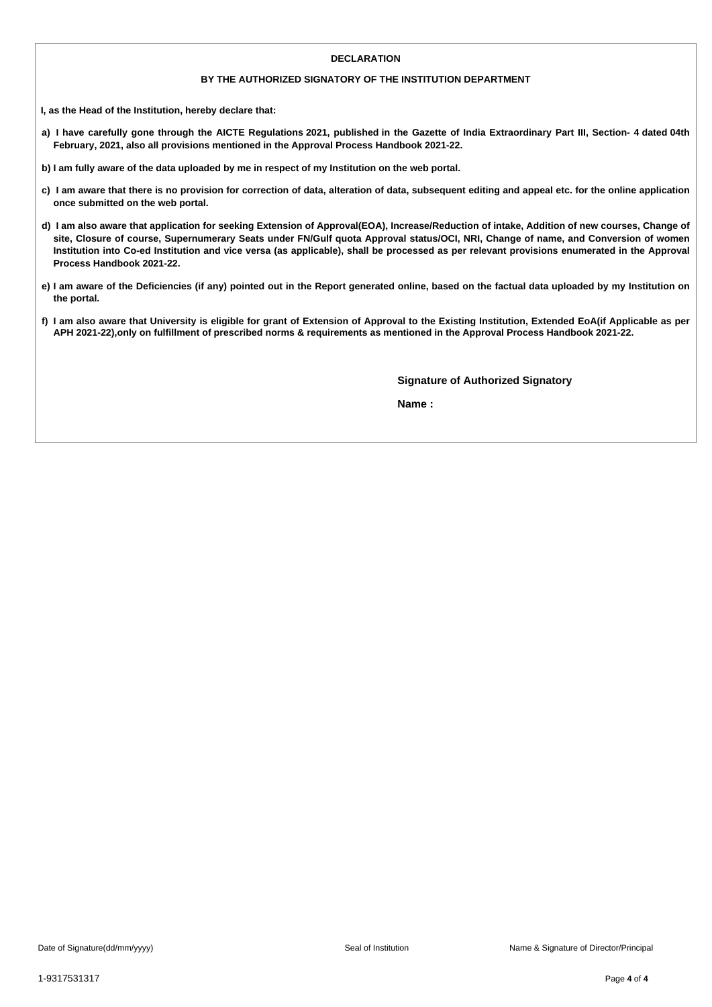#### **DECLARATION**

#### **BY THE AUTHORIZED SIGNATORY OF THE INSTITUTION DEPARTMENT**

**I, as the Head of the Institution, hereby declare that:**

- a) I have carefully gone through the AICTE Regulations 2021, published in the Gazette of India Extraordinary Part III, Section- 4 dated 04th **February, 2021, also all provisions mentioned in the Approval Process Handbook 2021-22.**
- b) I am fully aware of the data uploaded by me in respect of my Institution on the web portal.
- c) I am aware that there is no provision for correction of data, alteration of data, subsequent editing and appeal etc. for the online application **once submitted on the web portal.**
- d) I am also aware that application for seeking Extension of Approval(EOA), Increase/Reduction of intake, Addition of new courses, Change of site, Closure of course, Supernumerary Seats under FN/Gulf quota Approval status/OCI, NRI, Change of name, and Conversion of women Institution into Co-ed Institution and vice versa (as applicable), shall be processed as per relevant provisions enumerated in the Approval **Process Handbook 2021-22.**
- e) I am aware of the Deficiencies (if any) pointed out in the Report generated online, based on the factual data uploaded by my Institution on **the portal.**
- f) I am also aware that University is eligible for grant of Extension of Approval to the Existing Institution, Extended EoA(if Applicable as per APH 2021-22), only on fulfillment of prescribed norms & requirements as mentioned in the Approval Process Handbook 2021-22.

**Signature of Authorized Signatory**

**Name :**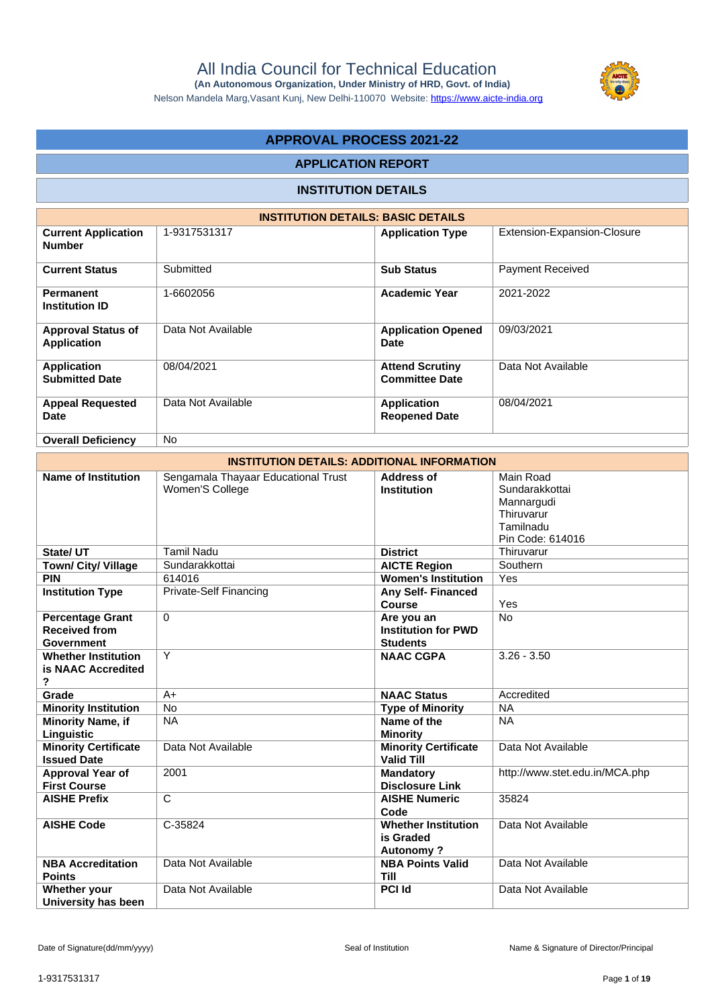

 **(An Autonomous Organization, Under Ministry of HRD, Govt. of India)**

#### Nelson Mandela Marg,Vasant Kunj, New Delhi-110070 Website:<https://www.aicte-india.org>

# **APPROVAL PROCESS 2021-22**

# **APPLICATION REPORT**

# **INSTITUTION DETAILS**

|                                                 | <b>INSTITUTION DETAILS: BASIC DETAILS</b> |                                                 |                             |  |  |  |  |  |  |  |
|-------------------------------------------------|-------------------------------------------|-------------------------------------------------|-----------------------------|--|--|--|--|--|--|--|
| <b>Current Application</b><br><b>Number</b>     | 1-9317531317                              | <b>Application Type</b>                         | Extension-Expansion-Closure |  |  |  |  |  |  |  |
| <b>Current Status</b>                           | Submitted                                 | <b>Sub Status</b>                               | Payment Received            |  |  |  |  |  |  |  |
| <b>Permanent</b><br><b>Institution ID</b>       | 1-6602056                                 | <b>Academic Year</b>                            | 2021-2022                   |  |  |  |  |  |  |  |
| <b>Approval Status of</b><br><b>Application</b> | Data Not Available                        | <b>Application Opened</b><br><b>Date</b>        | 09/03/2021                  |  |  |  |  |  |  |  |
| <b>Application</b><br><b>Submitted Date</b>     | 08/04/2021                                | <b>Attend Scrutiny</b><br><b>Committee Date</b> | Data Not Available          |  |  |  |  |  |  |  |
| <b>Appeal Requested</b><br><b>Date</b>          | Data Not Available                        | <b>Application</b><br><b>Reopened Date</b>      | 08/04/2021                  |  |  |  |  |  |  |  |
| <b>Overall Deficiency</b>                       | <b>No</b>                                 |                                                 |                             |  |  |  |  |  |  |  |

|                                                               | <b>INSTITUTION DETAILS: ADDITIONAL INFORMATION</b>     |                                                             |                                                                                          |  |  |  |  |  |  |
|---------------------------------------------------------------|--------------------------------------------------------|-------------------------------------------------------------|------------------------------------------------------------------------------------------|--|--|--|--|--|--|
| Name of Institution                                           | Sengamala Thayaar Educational Trust<br>Women'S College | <b>Address of</b><br><b>Institution</b>                     | Main Road<br>Sundarakkottai<br>Mannargudi<br>Thiruvarur<br>Tamilnadu<br>Pin Code: 614016 |  |  |  |  |  |  |
| State/UT                                                      | <b>Tamil Nadu</b>                                      | <b>District</b>                                             | Thiruvarur                                                                               |  |  |  |  |  |  |
| <b>Town/ City/ Village</b>                                    | Sundarakkottai                                         | <b>AICTE Region</b>                                         | Southern                                                                                 |  |  |  |  |  |  |
| <b>PIN</b>                                                    | 614016                                                 | <b>Women's Institution</b>                                  | Yes                                                                                      |  |  |  |  |  |  |
| <b>Institution Type</b>                                       | <b>Private-Self Financing</b>                          | <b>Any Self-Financed</b><br><b>Course</b>                   | Yes                                                                                      |  |  |  |  |  |  |
| <b>Percentage Grant</b><br><b>Received from</b><br>Government | $\Omega$                                               | Are you an<br><b>Institution for PWD</b><br><b>Students</b> | <b>No</b>                                                                                |  |  |  |  |  |  |
| <b>Whether Institution</b><br>is NAAC Accredited<br>?         | Y                                                      | <b>NAAC CGPA</b>                                            | $3.26 - 3.50$                                                                            |  |  |  |  |  |  |
| Grade                                                         | $A+$                                                   | <b>NAAC Status</b>                                          | Accredited                                                                               |  |  |  |  |  |  |
| <b>Minority Institution</b>                                   | $\overline{No}$                                        | <b>Type of Minority</b>                                     | <b>NA</b>                                                                                |  |  |  |  |  |  |
| <b>Minority Name, if</b><br>Linguistic                        | <b>NA</b>                                              | Name of the<br><b>Minority</b>                              | <b>NA</b>                                                                                |  |  |  |  |  |  |
| <b>Minority Certificate</b><br><b>Issued Date</b>             | Data Not Available                                     | <b>Minority Certificate</b><br><b>Valid Till</b>            | Data Not Available                                                                       |  |  |  |  |  |  |
| Approval Year of<br><b>First Course</b>                       | 2001                                                   | <b>Mandatory</b><br><b>Disclosure Link</b>                  | http://www.stet.edu.in/MCA.php                                                           |  |  |  |  |  |  |
| <b>AISHE Prefix</b>                                           | C                                                      | <b>AISHE Numeric</b><br>Code                                | 35824                                                                                    |  |  |  |  |  |  |
| <b>AISHE Code</b>                                             | C-35824                                                | <b>Whether Institution</b><br>is Graded<br><b>Autonomy?</b> | Data Not Available                                                                       |  |  |  |  |  |  |
| <b>NBA Accreditation</b><br><b>Points</b>                     | Data Not Available                                     | <b>NBA Points Valid</b><br><b>Till</b>                      | Data Not Available                                                                       |  |  |  |  |  |  |
| Whether your<br>University has been                           | Data Not Available                                     | <b>PCI Id</b>                                               | Data Not Available                                                                       |  |  |  |  |  |  |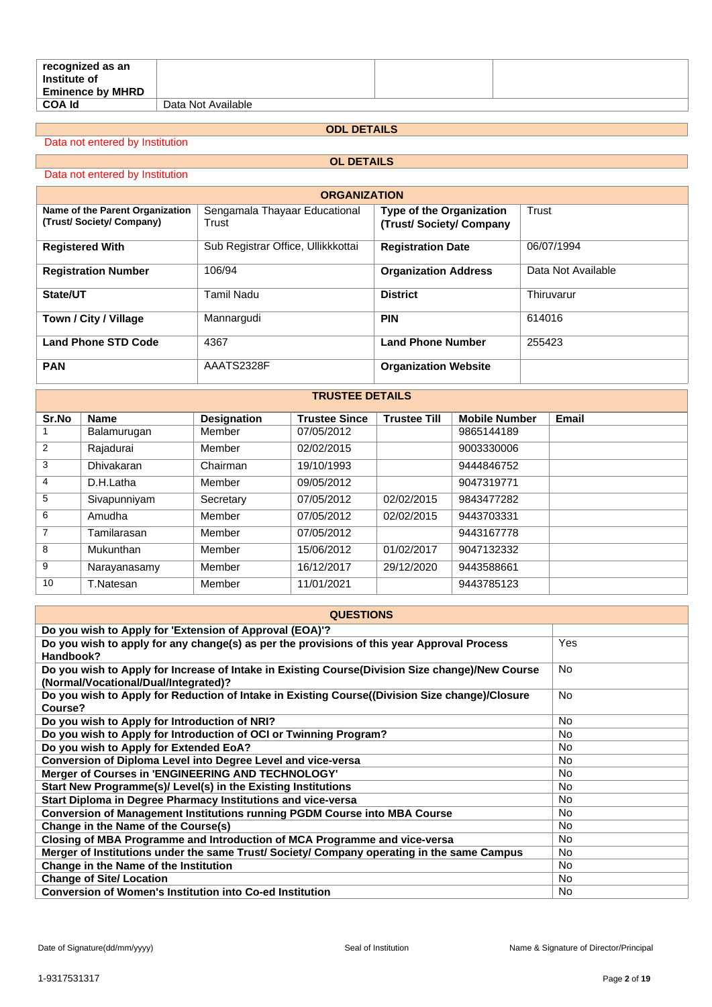| recognized as an<br>Institute of<br><b>Eminence by MHRD</b> |                    |  |
|-------------------------------------------------------------|--------------------|--|
| <b>COA Id</b>                                               | Data Not Available |  |

# **ODL DETAILS**

Data not entered by Institution

# **OL DETAILS**

Data not entered by Institution

| <b>ORGANIZATION</b>                                        |                                        |                                                    |                    |  |  |  |  |  |
|------------------------------------------------------------|----------------------------------------|----------------------------------------------------|--------------------|--|--|--|--|--|
| Name of the Parent Organization<br>(Trust/Society/Company) | Sengamala Thayaar Educational<br>Trust | Type of the Organization<br>(Trust/Society/Company | Trust              |  |  |  |  |  |
| <b>Registered With</b>                                     | Sub Registrar Office, Ullikkkottai     | <b>Registration Date</b>                           | 06/07/1994         |  |  |  |  |  |
| <b>Registration Number</b>                                 | 106/94                                 | <b>Organization Address</b>                        | Data Not Available |  |  |  |  |  |
| State/UT                                                   | Tamil Nadu                             | <b>District</b>                                    | Thiruvarur         |  |  |  |  |  |
| Town / City / Village                                      | Mannargudi                             | <b>PIN</b>                                         | 614016             |  |  |  |  |  |
| <b>Land Phone STD Code</b>                                 | 4367                                   | <b>Land Phone Number</b>                           | 255423             |  |  |  |  |  |
| <b>PAN</b>                                                 | AAATS2328F                             | <b>Organization Website</b>                        |                    |  |  |  |  |  |

|                | IRUSTEE DETAILS |                    |                      |                     |                      |              |  |  |  |
|----------------|-----------------|--------------------|----------------------|---------------------|----------------------|--------------|--|--|--|
| Sr.No          | <b>Name</b>     | <b>Designation</b> | <b>Trustee Since</b> | <b>Trustee Till</b> | <b>Mobile Number</b> | <b>Email</b> |  |  |  |
|                | Balamurugan     | Member             | 07/05/2012           |                     | 9865144189           |              |  |  |  |
| 2              | Rajadurai       | Member             | 02/02/2015           |                     | 9003330006           |              |  |  |  |
| 3              | Dhivakaran      | Chairman           | 19/10/1993           |                     | 9444846752           |              |  |  |  |
| $\overline{4}$ | D.H.Latha       | Member             | 09/05/2012           |                     | 9047319771           |              |  |  |  |
| 5              | Sivapunniyam    | Secretary          | 07/05/2012           | 02/02/2015          | 9843477282           |              |  |  |  |
| 6              | Amudha          | Member             | 07/05/2012           | 02/02/2015          | 9443703331           |              |  |  |  |
| $\overline{7}$ | Tamilarasan     | Member             | 07/05/2012           |                     | 9443167778           |              |  |  |  |
| 8              | Mukunthan       | Member             | 15/06/2012           | 01/02/2017          | 9047132332           |              |  |  |  |
| 9              | Narayanasamy    | Member             | 16/12/2017           | 29/12/2020          | 9443588661           |              |  |  |  |
| 10             | T.Natesan       | Member             | 11/01/2021           |                     | 9443785123           |              |  |  |  |

**TRUSTEE DETAILS**

| <b>QUESTIONS</b>                                                                                                                         |           |
|------------------------------------------------------------------------------------------------------------------------------------------|-----------|
| Do you wish to Apply for 'Extension of Approval (EOA)'?                                                                                  |           |
| Do you wish to apply for any change(s) as per the provisions of this year Approval Process<br>Handbook?                                  | Yes       |
| Do you wish to Apply for Increase of Intake in Existing Course (Division Size change)/New Course<br>(Normal/Vocational/Dual/Integrated)? | No.       |
| Do you wish to Apply for Reduction of Intake in Existing Course((Division Size change)/Closure<br>Course?                                | <b>No</b> |
| Do you wish to Apply for Introduction of NRI?                                                                                            | No.       |
| Do you wish to Apply for Introduction of OCI or Twinning Program?                                                                        | <b>No</b> |
| Do you wish to Apply for Extended EoA?                                                                                                   | <b>No</b> |
| Conversion of Diploma Level into Degree Level and vice-versa                                                                             | No.       |
| Merger of Courses in 'ENGINEERING AND TECHNOLOGY'                                                                                        | <b>No</b> |
| Start New Programme(s)/ Level(s) in the Existing Institutions                                                                            | <b>No</b> |
| Start Diploma in Degree Pharmacy Institutions and vice-versa                                                                             | No.       |
| <b>Conversion of Management Institutions running PGDM Course into MBA Course</b>                                                         | No.       |
| Change in the Name of the Course(s)                                                                                                      | <b>No</b> |
| Closing of MBA Programme and Introduction of MCA Programme and vice-versa                                                                | No.       |
| Merger of Institutions under the same Trust/ Society/ Company operating in the same Campus                                               | No.       |
| Change in the Name of the Institution                                                                                                    | <b>No</b> |
| <b>Change of Site/ Location</b>                                                                                                          | No.       |
| <b>Conversion of Women's Institution into Co-ed Institution</b>                                                                          | No.       |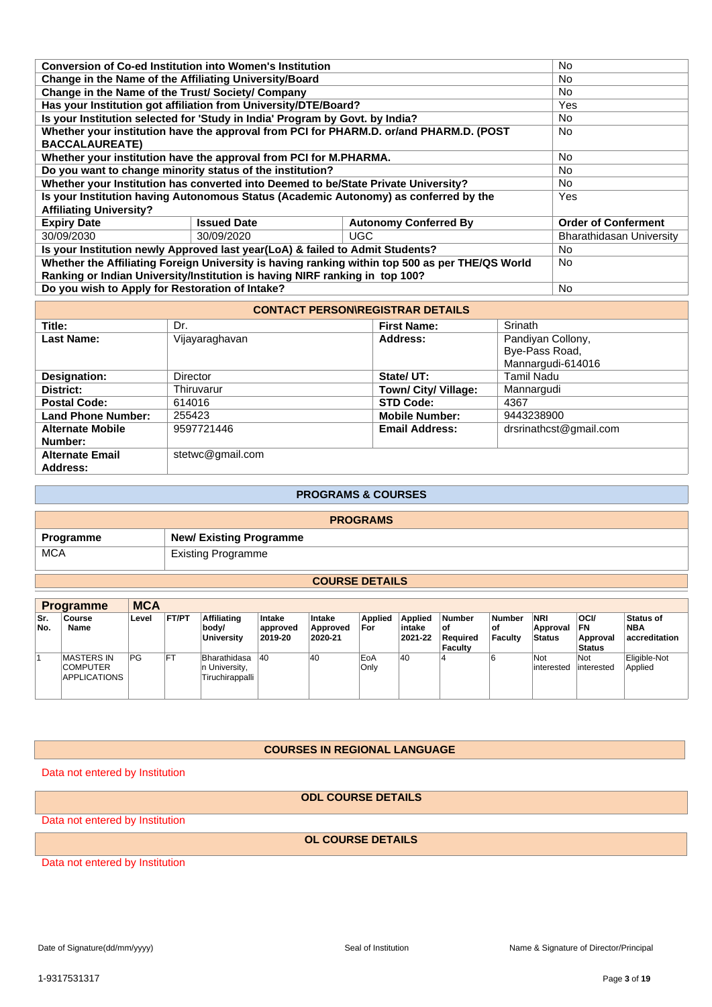|                                                                                                 | <b>Conversion of Co-ed Institution into Women's Institution</b> |                                                                                        |                            |  |  |  |
|-------------------------------------------------------------------------------------------------|-----------------------------------------------------------------|----------------------------------------------------------------------------------------|----------------------------|--|--|--|
| Change in the Name of the Affiliating University/Board                                          | No.<br><b>No</b>                                                |                                                                                        |                            |  |  |  |
| Change in the Name of the Trust/ Society/ Company                                               |                                                                 |                                                                                        | No.                        |  |  |  |
| Has your Institution got affiliation from University/DTE/Board?                                 |                                                                 |                                                                                        | Yes                        |  |  |  |
| Is your Institution selected for 'Study in India' Program by Govt. by India?                    |                                                                 |                                                                                        | <b>No</b>                  |  |  |  |
|                                                                                                 |                                                                 | Whether your institution have the approval from PCI for PHARM.D. or/and PHARM.D. (POST | No.                        |  |  |  |
| <b>BACCALAUREATE)</b>                                                                           |                                                                 |                                                                                        |                            |  |  |  |
| Whether your institution have the approval from PCI for M.PHARMA.                               |                                                                 |                                                                                        | No.                        |  |  |  |
| Do you want to change minority status of the institution?                                       | No.                                                             |                                                                                        |                            |  |  |  |
| Whether your Institution has converted into Deemed to be/State Private University?              | No.                                                             |                                                                                        |                            |  |  |  |
| Is your Institution having Autonomous Status (Academic Autonomy) as conferred by the            | Yes                                                             |                                                                                        |                            |  |  |  |
| <b>Affiliating University?</b>                                                                  |                                                                 |                                                                                        |                            |  |  |  |
| <b>Expiry Date</b>                                                                              | <b>Issued Date</b>                                              | <b>Autonomy Conferred By</b>                                                           | <b>Order of Conferment</b> |  |  |  |
| 30/09/2030                                                                                      | 30/09/2020                                                      | UGC.                                                                                   | Bharathidasan University   |  |  |  |
| Is your Institution newly Approved last year(LoA) & failed to Admit Students?                   | No.                                                             |                                                                                        |                            |  |  |  |
| Whether the Affiliating Foreign University is having ranking within top 500 as per THE/QS World | No.                                                             |                                                                                        |                            |  |  |  |
| Ranking or Indian University/Institution is having NIRF ranking in top 100?                     |                                                                 |                                                                                        |                            |  |  |  |
| Do you wish to Apply for Restoration of Intake?                                                 | <b>No</b>                                                       |                                                                                        |                            |  |  |  |
|                                                                                                 |                                                                 |                                                                                        |                            |  |  |  |

| <b>CONTACT PERSON\REGISTRAR DETAILS</b> |                  |                       |                                                          |  |
|-----------------------------------------|------------------|-----------------------|----------------------------------------------------------|--|
| Title:                                  | Dr.              | <b>First Name:</b>    | Srinath                                                  |  |
| <b>Last Name:</b>                       | Vijayaraghavan   | Address:              | Pandiyan Collony,<br>Bye-Pass Road,<br>Mannargudi-614016 |  |
| Designation:                            | <b>Director</b>  | State/ UT:            | <b>Tamil Nadu</b>                                        |  |
| District:                               | Thiruvarur       | Town/ City/ Village:  | Mannargudi                                               |  |
| <b>Postal Code:</b>                     | 614016           | <b>STD Code:</b>      | 4367                                                     |  |
| <b>Land Phone Number:</b>               | 255423           | <b>Mobile Number:</b> | 9443238900                                               |  |
| <b>Alternate Mobile</b><br>Number:      | 9597721446       | <b>Email Address:</b> | drsrinathcst@gmail.com                                   |  |
| <b>Alternate Email</b>                  | stetwc@gmail.com |                       |                                                          |  |
| Address:                                |                  |                       |                                                          |  |

#### **PROGRAMS & COURSES**

| <b>PROGRAMS</b> |                                |  |  |
|-----------------|--------------------------------|--|--|
| Programme       | <b>New/ Existing Programme</b> |  |  |
| <b>MCA</b>      | <b>Existing Programme</b>      |  |  |

# **COURSE DETAILS**

|            | <b>Programme</b>                                     | <b>MCA</b> |              |                                                   |                               |                               |                       |                                     |                                                     |                                |                                         |                                                  |                                                 |
|------------|------------------------------------------------------|------------|--------------|---------------------------------------------------|-------------------------------|-------------------------------|-----------------------|-------------------------------------|-----------------------------------------------------|--------------------------------|-----------------------------------------|--------------------------------------------------|-------------------------------------------------|
| Sr.<br>No. | Course<br>Name                                       | Level      | <b>FT/PT</b> | Affiliating<br>body/<br><b>University</b>         | Intake<br>approved<br>2019-20 | Intake<br>Approved<br>2020-21 | <b>Applied</b><br>For | <b>Applied</b><br>intake<br>2021-22 | <b>Number</b><br>l of<br>Reauired<br><b>Faculty</b> | <b>Number</b><br>οf<br>Faculty | <b>NRI</b><br>Approval<br><b>Status</b> | <b>OCI/</b><br>IFN.<br>Approval<br><b>Status</b> | <b>Status of</b><br><b>NBA</b><br>accreditation |
|            | <b>MASTERS IN</b><br><b>COMPUTER</b><br>APPLICATIONS | <b>PG</b>  | FT           | Bharathidasa<br>In University,<br>Tiruchirappalli | 40                            | 40                            | EoA<br>Only           | 40                                  |                                                     |                                | Not<br>interested                       | Not<br>interested                                | Eligible-Not<br>Applied                         |

## **COURSES IN REGIONAL LANGUAGE**

Data not entered by Institution

**ODL COURSE DETAILS**

Data not entered by Institution

**OL COURSE DETAILS**

Data not entered by Institution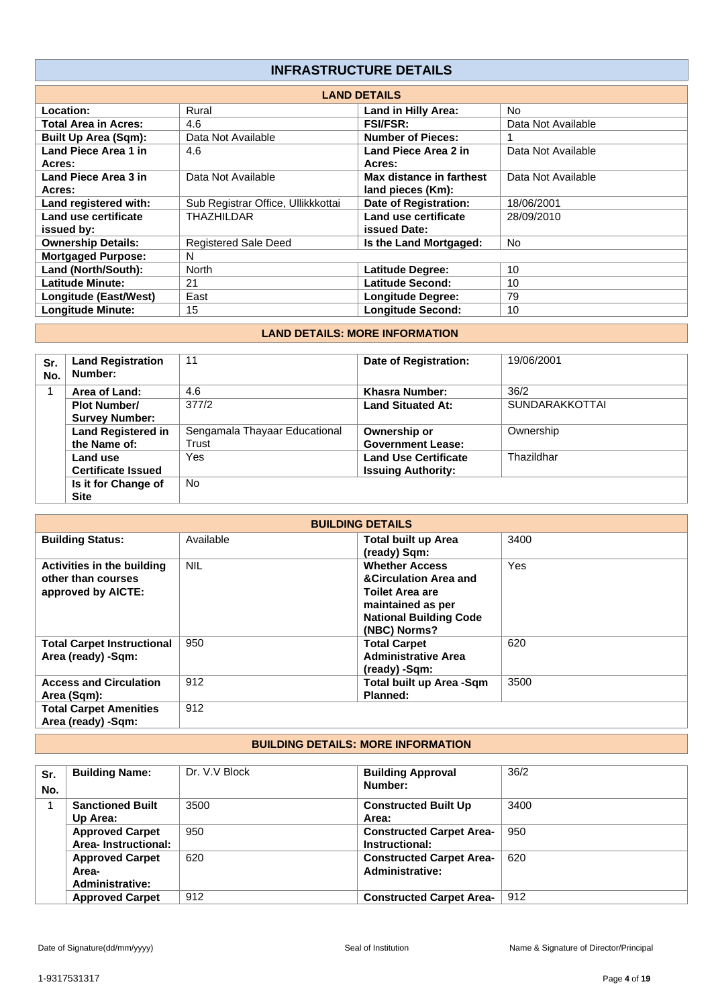# **INFRASTRUCTURE DETAILS**

| <b>LAND DETAILS</b>         |                                    |                          |                    |  |
|-----------------------------|------------------------------------|--------------------------|--------------------|--|
| Location:                   | Rural                              | Land in Hilly Area:      | N <sub>o</sub>     |  |
| <b>Total Area in Acres:</b> | 4.6                                | <b>FSI/FSR:</b>          | Data Not Available |  |
| <b>Built Up Area (Sqm):</b> | Data Not Available                 | <b>Number of Pieces:</b> |                    |  |
| Land Piece Area 1 in        | 4.6                                | Land Piece Area 2 in     | Data Not Available |  |
| Acres:                      |                                    | Acres:                   |                    |  |
| Land Piece Area 3 in        | Data Not Available                 | Max distance in farthest | Data Not Available |  |
| Acres:                      |                                    | land pieces (Km):        |                    |  |
| Land registered with:       | Sub Registrar Office, Ullikkkottai | Date of Registration:    | 18/06/2001         |  |
| Land use certificate        | THAZHILDAR                         | Land use certificate     | 28/09/2010         |  |
| issued by:                  |                                    | issued Date:             |                    |  |
| <b>Ownership Details:</b>   | <b>Registered Sale Deed</b>        | Is the Land Mortgaged:   | <b>No</b>          |  |
| <b>Mortgaged Purpose:</b>   | N                                  |                          |                    |  |
| Land (North/South):         | North                              | <b>Latitude Degree:</b>  | 10                 |  |
| <b>Latitude Minute:</b>     | 21                                 | Latitude Second:         | 10                 |  |
| Longitude (East/West)       | East                               | <b>Longitude Degree:</b> | 79                 |  |
| <b>Longitude Minute:</b>    | 15                                 | <b>Longitude Second:</b> | 10                 |  |

# **LAND DETAILS: MORE INFORMATION**

| Sr.<br>No. | <b>Land Registration</b><br>Number: | 11                            | Date of Registration:       | 19/06/2001            |
|------------|-------------------------------------|-------------------------------|-----------------------------|-----------------------|
|            | Area of Land:                       | 4.6                           | <b>Khasra Number:</b>       | 36/2                  |
|            | <b>Plot Number/</b>                 | 377/2                         | <b>Land Situated At:</b>    | <b>SUNDARAKKOTTAI</b> |
|            | <b>Survey Number:</b>               |                               |                             |                       |
|            | <b>Land Registered in</b>           | Sengamala Thayaar Educational | Ownership or                | Ownership             |
|            | the Name of:                        | Trust                         | <b>Government Lease:</b>    |                       |
|            | Land use                            | Yes                           | <b>Land Use Certificate</b> | Thazildhar            |
|            | <b>Certificate Issued</b>           |                               | <b>Issuing Authority:</b>   |                       |
|            | Is it for Change of                 | <b>No</b>                     |                             |                       |
|            | <b>Site</b>                         |                               |                             |                       |

| <b>BUILDING DETAILS</b>                                                |            |                                                                                                                                                           |      |  |
|------------------------------------------------------------------------|------------|-----------------------------------------------------------------------------------------------------------------------------------------------------------|------|--|
| <b>Building Status:</b>                                                | Available  | <b>Total built up Area</b><br>(ready) Sqm:                                                                                                                | 3400 |  |
| Activities in the building<br>other than courses<br>approved by AICTE: | <b>NIL</b> | <b>Whether Access</b><br><b>&amp;Circulation Area and</b><br><b>Toilet Area are</b><br>maintained as per<br><b>National Building Code</b><br>(NBC) Norms? | Yes  |  |
| <b>Total Carpet Instructional</b><br>Area (ready) -Sqm:                | 950        | <b>Total Carpet</b><br><b>Administrative Area</b><br>(ready) -Sqm:                                                                                        | 620  |  |
| <b>Access and Circulation</b><br>Area (Sqm):                           | 912        | Total built up Area -Sqm<br><b>Planned:</b>                                                                                                               | 3500 |  |
| <b>Total Carpet Amenities</b><br>Area (ready) -Sqm:                    | 912        |                                                                                                                                                           |      |  |

# **BUILDING DETAILS: MORE INFORMATION**

| Sr.<br>No. | <b>Building Name:</b>                              | Dr. V.V Block | <b>Building Approval</b><br>Number:                | 36/2 |
|------------|----------------------------------------------------|---------------|----------------------------------------------------|------|
|            | <b>Sanctioned Built</b><br>Up Area:                | 3500          | <b>Constructed Built Up</b><br>Area:               | 3400 |
|            | <b>Approved Carpet</b><br>Area-Instructional:      | 950           | <b>Constructed Carpet Area-</b><br>Instructional:  | 950  |
|            | <b>Approved Carpet</b><br>Area-<br>Administrative: | 620           | <b>Constructed Carpet Area-</b><br>Administrative: | 620  |
|            | <b>Approved Carpet</b>                             | 912           | <b>Constructed Carpet Area-</b>                    | 912  |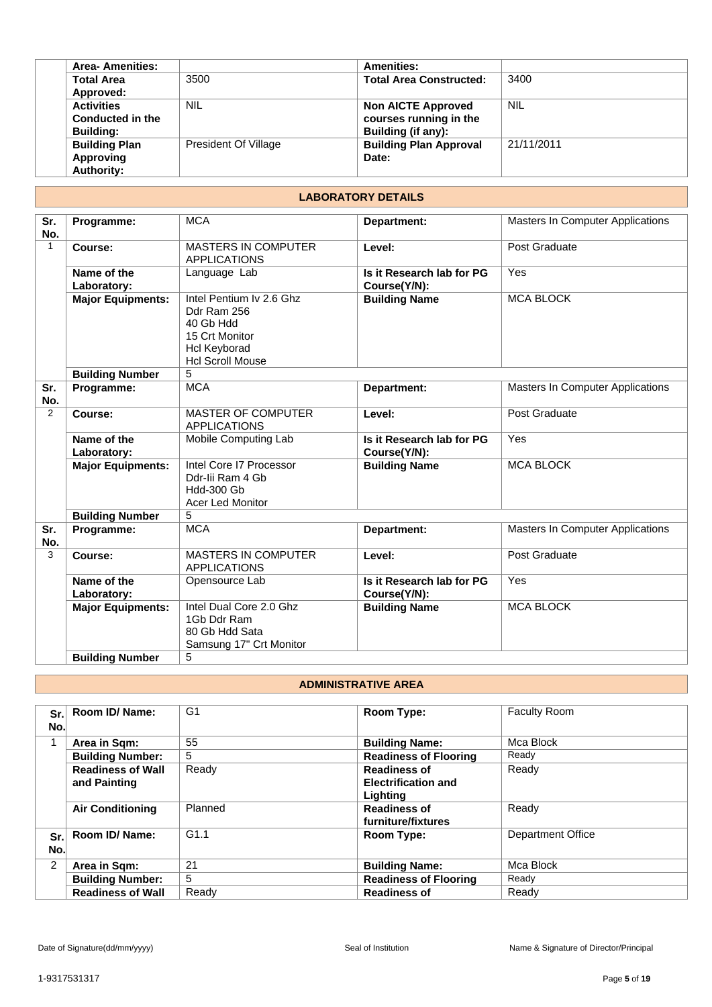| <b>Area-Amenities:</b> |                      | <b>Amenities:</b>              |            |
|------------------------|----------------------|--------------------------------|------------|
| <b>Total Area</b>      | 3500                 | <b>Total Area Constructed:</b> | 3400       |
| Approved:              |                      |                                |            |
| <b>Activities</b>      | <b>NIL</b>           | <b>Non AICTE Approved</b>      | <b>NIL</b> |
| Conducted in the       |                      | courses running in the         |            |
| <b>Building:</b>       |                      | Building (if any):             |            |
| <b>Building Plan</b>   | President Of Village | <b>Building Plan Approval</b>  | 21/11/2011 |
| Approving              |                      | Date:                          |            |
| <b>Authority:</b>      |                      |                                |            |
|                        |                      |                                |            |

# **LABORATORY DETAILS**

| Sr.            | Programme:                                         | <b>MCA</b>                                                                                                               | Department:                               | Masters In Computer Applications        |
|----------------|----------------------------------------------------|--------------------------------------------------------------------------------------------------------------------------|-------------------------------------------|-----------------------------------------|
| No.            |                                                    |                                                                                                                          |                                           |                                         |
| 1              | Course:                                            | <b>MASTERS IN COMPUTER</b><br><b>APPLICATIONS</b>                                                                        | Level:                                    | Post Graduate                           |
|                | Name of the<br>Laboratory:                         | Language Lab                                                                                                             | Is it Research lab for PG<br>Course(Y/N): | Yes                                     |
|                | <b>Major Equipments:</b>                           | Intel Pentium Iv 2.6 Ghz<br>Ddr Ram 256<br>40 Gb Hdd<br>15 Crt Monitor<br><b>Hcl Keyborad</b><br><b>Hcl Scroll Mouse</b> | <b>Building Name</b>                      | <b>MCA BLOCK</b>                        |
|                | <b>Building Number</b>                             | 5                                                                                                                        |                                           |                                         |
| Sr.<br>No.     | Programme:                                         | <b>MCA</b>                                                                                                               | Department:                               | <b>Masters In Computer Applications</b> |
| $\overline{2}$ | Course:                                            | <b>MASTER OF COMPUTER</b><br><b>APPLICATIONS</b>                                                                         | Level:                                    | Post Graduate                           |
|                | Name of the<br>Laboratory:                         | Mobile Computing Lab                                                                                                     | Is it Research lab for PG<br>Course(Y/N): | Yes                                     |
|                | <b>Major Equipments:</b>                           | Intel Core I7 Processor<br>Ddr-lii Ram 4 Gb<br><b>Hdd-300 Gb</b><br><b>Acer Led Monitor</b>                              | <b>Building Name</b>                      | <b>MCA BLOCK</b>                        |
|                | <b>Building Number</b>                             | 5                                                                                                                        |                                           |                                         |
| Sr.<br>No.     | Programme:                                         | <b>MCA</b>                                                                                                               | Department:                               | Masters In Computer Applications        |
| 3              | Course:                                            | <b>MASTERS IN COMPUTER</b><br><b>APPLICATIONS</b>                                                                        | Level:                                    | Post Graduate                           |
|                | Name of the<br>Laboratory:                         | Opensource Lab                                                                                                           | Is it Research lab for PG<br>Course(Y/N): | Yes                                     |
|                | <b>Major Equipments:</b><br><b>Building Number</b> | Intel Dual Core 2.0 Ghz<br>1Gb Ddr Ram<br>80 Gb Hdd Sata<br>Samsung 17" Crt Monitor<br>5                                 | <b>Building Name</b>                      | <b>MCA BLOCK</b>                        |
|                |                                                    |                                                                                                                          |                                           |                                         |

#### **ADMINISTRATIVE AREA**

| Sr.<br>No.     | Room ID/ Name:           | G <sub>1</sub> | Room Type:                   | <b>Faculty Room</b>      |
|----------------|--------------------------|----------------|------------------------------|--------------------------|
| $\overline{ }$ | Area in Sqm:             | 55             | <b>Building Name:</b>        | Mca Block                |
|                | <b>Building Number:</b>  | 5              | <b>Readiness of Flooring</b> | Ready                    |
|                | <b>Readiness of Wall</b> | Ready          | <b>Readiness of</b>          | Ready                    |
|                | and Painting             |                | <b>Electrification and</b>   |                          |
|                |                          |                | Lighting                     |                          |
|                | <b>Air Conditioning</b>  | Planned        | <b>Readiness of</b>          | Ready                    |
|                |                          |                | furniture/fixtures           |                          |
| Sr.            | Room ID/ Name:           | G1.1           | <b>Room Type:</b>            | <b>Department Office</b> |
| No.            |                          |                |                              |                          |
| 2              | Area in Sqm:             | 21             | <b>Building Name:</b>        | Mca Block                |
|                | <b>Building Number:</b>  | 5              | <b>Readiness of Flooring</b> | Ready                    |
|                | <b>Readiness of Wall</b> | Ready          | <b>Readiness of</b>          | Ready                    |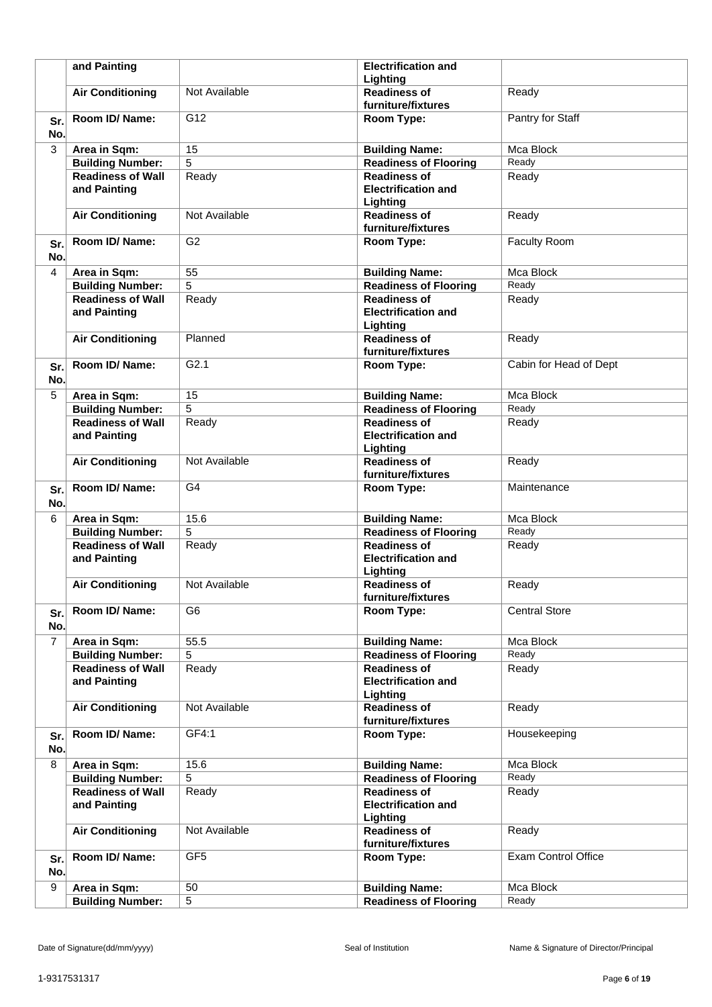|                | and Painting                             |                 | <b>Electrification and</b><br>Lighting                        |                            |
|----------------|------------------------------------------|-----------------|---------------------------------------------------------------|----------------------------|
|                | <b>Air Conditioning</b>                  | Not Available   | <b>Readiness of</b><br>furniture/fixtures                     | Ready                      |
| Sr.            | Room ID/ Name:                           | G12             | Room Type:                                                    | Pantry for Staff           |
| No.            |                                          |                 |                                                               |                            |
| 3              | Area in Sqm:                             | 15              | <b>Building Name:</b>                                         | Mca Block                  |
|                | <b>Building Number:</b>                  | 5               | <b>Readiness of Flooring</b>                                  | Ready                      |
|                | <b>Readiness of Wall</b>                 | Ready           | <b>Readiness of</b>                                           | Ready                      |
|                | and Painting                             |                 | <b>Electrification and</b>                                    |                            |
|                |                                          |                 | Lighting                                                      |                            |
|                | <b>Air Conditioning</b>                  | Not Available   | <b>Readiness of</b><br>furniture/fixtures                     | Ready                      |
| Sr.            | Room ID/ Name:                           | G <sub>2</sub>  | Room Type:                                                    | <b>Faculty Room</b>        |
| No.            |                                          |                 |                                                               |                            |
| 4              | Area in Sqm:                             | 55              | <b>Building Name:</b>                                         | Mca Block                  |
|                | <b>Building Number:</b>                  | 5               | <b>Readiness of Flooring</b>                                  | Ready                      |
|                | <b>Readiness of Wall</b>                 | Ready           | <b>Readiness of</b>                                           | Ready                      |
|                | and Painting                             |                 | <b>Electrification and</b><br>Lighting                        |                            |
|                | <b>Air Conditioning</b>                  | Planned         | <b>Readiness of</b>                                           | Ready                      |
|                |                                          |                 | furniture/fixtures                                            |                            |
| Sr.<br>No.     | Room ID/Name:                            | G2.1            | Room Type:                                                    | Cabin for Head of Dept     |
| 5              | Area in Sqm:                             | 15              | <b>Building Name:</b>                                         | Mca Block                  |
|                | <b>Building Number:</b>                  | 5               | <b>Readiness of Flooring</b>                                  | Ready                      |
|                | <b>Readiness of Wall</b>                 | Ready           | <b>Readiness of</b>                                           | Ready                      |
|                | and Painting                             |                 | <b>Electrification and</b><br>Lighting                        |                            |
|                | <b>Air Conditioning</b>                  | Not Available   | <b>Readiness of</b><br>furniture/fixtures                     | Ready                      |
| Sr.<br>No.     | Room ID/ Name:                           | G <sub>4</sub>  | Room Type:                                                    | Maintenance                |
| 6              | Area in Sqm:                             | 15.6            | <b>Building Name:</b>                                         | Mca Block                  |
|                | <b>Building Number:</b>                  | 5               | <b>Readiness of Flooring</b>                                  | Ready                      |
|                | <b>Readiness of Wall</b>                 | Ready           | <b>Readiness of</b>                                           | Ready                      |
|                | and Painting                             |                 | <b>Electrification and</b><br>Lighting                        |                            |
|                | <b>Air Conditioning</b>                  | Not Available   | <b>Readiness of</b>                                           | Ready                      |
|                |                                          |                 | furniture/fixtures                                            |                            |
| Sr.<br>No.     | Room ID/ Name:                           | G <sub>6</sub>  | Room Type:                                                    | <b>Central Store</b>       |
| $\overline{7}$ | Area in Sqm:                             | 55.5            | <b>Building Name:</b>                                         | Mca Block                  |
|                | <b>Building Number:</b>                  | 5               | <b>Readiness of Flooring</b>                                  | Ready                      |
|                | <b>Readiness of Wall</b><br>and Painting | Ready           | <b>Readiness of</b><br><b>Electrification and</b><br>Lighting | Ready                      |
|                | <b>Air Conditioning</b>                  | Not Available   | <b>Readiness of</b><br>furniture/fixtures                     | Ready                      |
| Sr.<br>No.     | Room ID/ Name:                           | GF4:1           | Room Type:                                                    | Housekeeping               |
| 8              | Area in Sqm:                             | 15.6            | <b>Building Name:</b>                                         | Mca Block                  |
|                | <b>Building Number:</b>                  | 5               | <b>Readiness of Flooring</b>                                  | Ready                      |
|                | <b>Readiness of Wall</b><br>and Painting | Ready           | <b>Readiness of</b><br><b>Electrification and</b><br>Lighting | Ready                      |
|                | <b>Air Conditioning</b>                  | Not Available   | <b>Readiness of</b>                                           | Ready                      |
|                |                                          |                 | furniture/fixtures                                            |                            |
| Sr.<br>No.     | Room ID/ Name:                           | GF <sub>5</sub> | Room Type:                                                    | <b>Exam Control Office</b> |
| 9              | Area in Sqm:                             | 50              | <b>Building Name:</b>                                         | Mca Block                  |
|                | <b>Building Number:</b>                  | 5               | <b>Readiness of Flooring</b>                                  | Ready                      |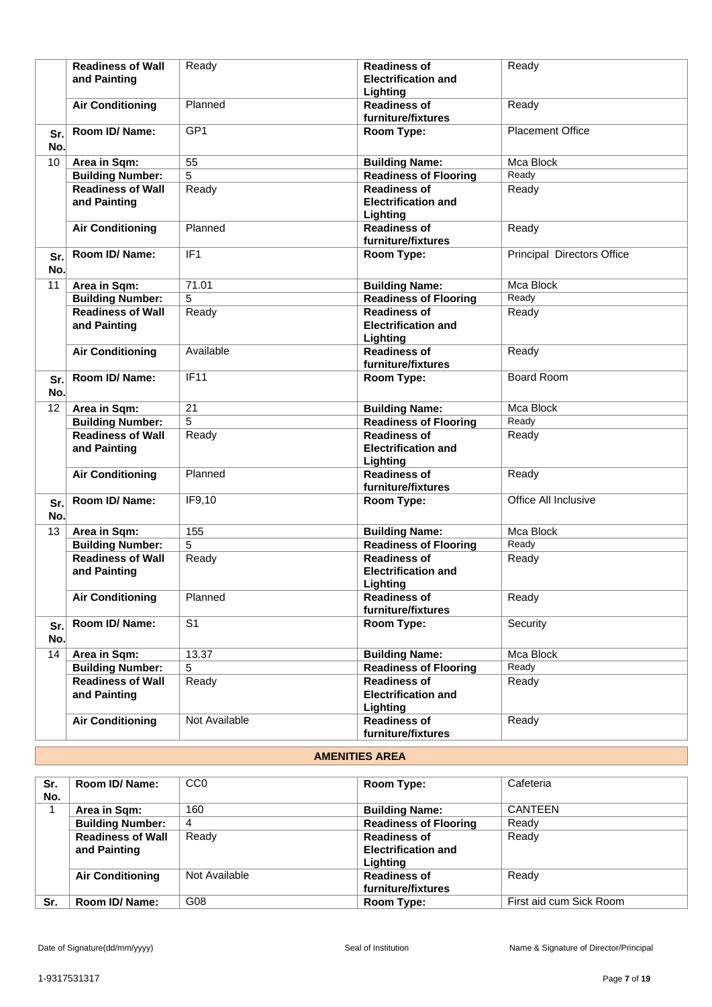|                 | <b>Readiness of Wall</b><br>and Painting | Ready           | <b>Readiness of</b><br><b>Electrification and</b><br>Lighting | Ready                      |
|-----------------|------------------------------------------|-----------------|---------------------------------------------------------------|----------------------------|
|                 | <b>Air Conditioning</b>                  | Planned         | <b>Readiness of</b><br>furniture/fixtures                     | Ready                      |
| Sr.<br>No.      | Room ID/Name:                            | GP <sub>1</sub> | Room Type:                                                    | <b>Placement Office</b>    |
| 10              | Area in Sqm:                             | $\overline{55}$ | <b>Building Name:</b>                                         | Mca Block                  |
|                 | <b>Building Number:</b>                  | 5               | <b>Readiness of Flooring</b>                                  | Ready                      |
|                 | <b>Readiness of Wall</b><br>and Painting | Ready           | <b>Readiness of</b><br><b>Electrification and</b><br>Lighting | Ready                      |
|                 | <b>Air Conditioning</b>                  | Planned         | <b>Readiness of</b><br>furniture/fixtures                     | Ready                      |
| Sr.<br>No.      | Room ID/ Name:                           | IF1             | Room Type:                                                    | Principal Directors Office |
| 11              | Area in Sqm:                             | 71.01           | <b>Building Name:</b>                                         | Mca Block                  |
|                 | <b>Building Number:</b>                  | 5               | <b>Readiness of Flooring</b>                                  | Ready                      |
|                 | <b>Readiness of Wall</b><br>and Painting | Ready           | <b>Readiness of</b><br><b>Electrification and</b><br>Lighting | Ready                      |
|                 | <b>Air Conditioning</b>                  | Available       | <b>Readiness of</b><br>furniture/fixtures                     | Ready                      |
| Sr.<br>No.      | Room ID/ Name:                           | <b>IF11</b>     | Room Type:                                                    | <b>Board Room</b>          |
| $\overline{12}$ | Area in Sqm:                             | $\overline{21}$ | <b>Building Name:</b>                                         | Mca Block                  |
|                 | <b>Building Number:</b>                  | 5               | Readiness of Flooring                                         | Ready                      |
|                 | <b>Readiness of Wall</b><br>and Painting | Ready           | <b>Readiness of</b><br><b>Electrification and</b><br>Lighting | Ready                      |
|                 | <b>Air Conditioning</b>                  | Planned         | <b>Readiness of</b><br>furniture/fixtures                     | Ready                      |
| Sr.<br>No.      | Room ID/ Name:                           | IF9,10          | Room Type:                                                    | Office All Inclusive       |
| 13              | Area in Sqm:                             | 155             | <b>Building Name:</b>                                         | Mca Block                  |
|                 | <b>Building Number:</b>                  | 5               | <b>Readiness of Flooring</b>                                  | Ready                      |
|                 | <b>Readiness of Wall</b><br>and Painting | Ready           | <b>Readiness of</b><br><b>Electrification and</b><br>Lighting | Ready                      |
|                 | <b>Air Conditioning</b>                  | Planned         | <b>Readiness of</b><br>furniture/fixtures                     | Ready                      |
| Sr.<br>No.      | Room ID/ Name:                           | S <sub>1</sub>  | Room Type:                                                    | Security                   |
| 14              | Area in Sqm:                             | 13.37           | <b>Building Name:</b>                                         | Mca Block                  |
|                 | <b>Building Number:</b>                  | 5               | <b>Readiness of Flooring</b>                                  | Ready                      |
|                 | <b>Readiness of Wall</b><br>and Painting | Ready           | <b>Readiness of</b><br><b>Electrification and</b><br>Lighting | Ready                      |
|                 | <b>Air Conditioning</b>                  | Not Available   | <b>Readiness of</b><br>furniture/fixtures                     | Ready                      |

# **AMENITIES AREA**

| Sr.<br>No. | Room ID/ Name:                           | CC <sub>0</sub> | Room Type:                                                    | Cafeteria               |
|------------|------------------------------------------|-----------------|---------------------------------------------------------------|-------------------------|
|            | Area in Sqm:                             | 160             | <b>Building Name:</b>                                         | <b>CANTEEN</b>          |
|            | <b>Building Number:</b>                  | 4               | <b>Readiness of Flooring</b>                                  | Ready                   |
|            | <b>Readiness of Wall</b><br>and Painting | Ready           | <b>Readiness of</b><br><b>Electrification and</b><br>Lighting | Ready                   |
|            | <b>Air Conditioning</b>                  | Not Available   | <b>Readiness of</b><br>furniture/fixtures                     | Ready                   |
| Sr.        | Room ID/Name:                            | G08             | Room Type:                                                    | First aid cum Sick Room |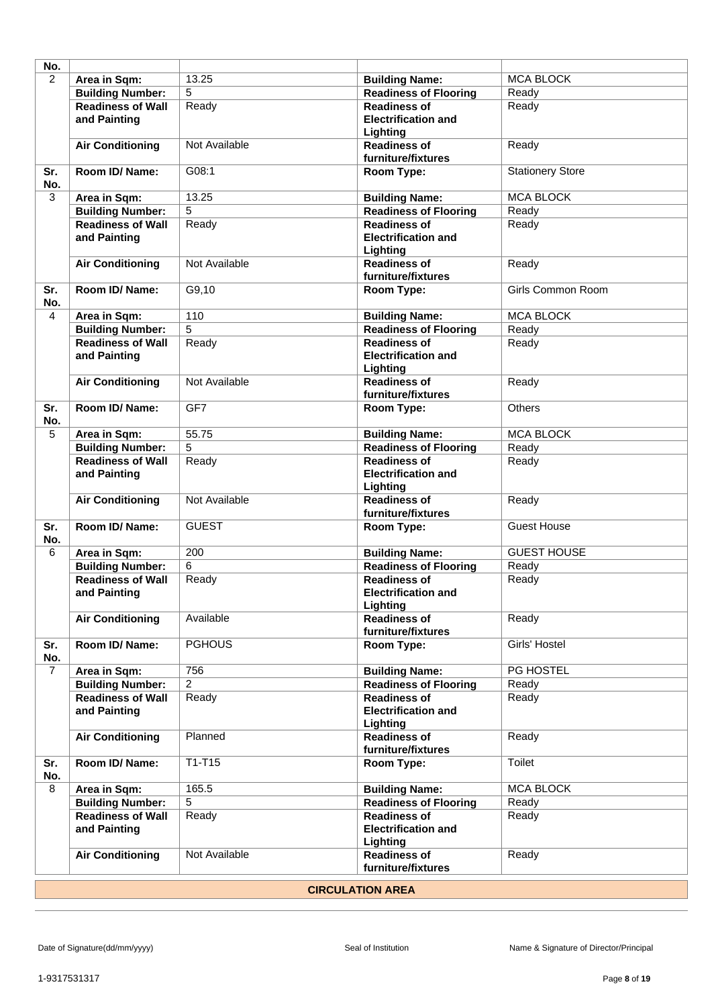| No.                     |                                          |                |                                                               |                         |
|-------------------------|------------------------------------------|----------------|---------------------------------------------------------------|-------------------------|
| $\overline{2}$          | Area in Sqm:                             | 13.25          | <b>Building Name:</b>                                         | <b>MCA BLOCK</b>        |
|                         | <b>Building Number:</b>                  | 5              | <b>Readiness of Flooring</b>                                  | Ready                   |
|                         | <b>Readiness of Wall</b>                 | Ready          | <b>Readiness of</b>                                           | Ready                   |
|                         | and Painting                             |                | <b>Electrification and</b><br>Lighting                        |                         |
|                         | <b>Air Conditioning</b>                  | Not Available  | <b>Readiness of</b><br>furniture/fixtures                     | Ready                   |
| Sr.<br>No.              | Room ID/Name:                            | G08:1          | Room Type:                                                    | <b>Stationery Store</b> |
| 3                       | Area in Sqm:                             | 13.25          | <b>Building Name:</b>                                         | <b>MCA BLOCK</b>        |
|                         | <b>Building Number:</b>                  | 5              | <b>Readiness of Flooring</b>                                  | Ready                   |
|                         | <b>Readiness of Wall</b><br>and Painting | Ready          | <b>Readiness of</b><br><b>Electrification and</b><br>Lighting | Ready                   |
|                         | <b>Air Conditioning</b>                  | Not Available  | <b>Readiness of</b><br>furniture/fixtures                     | Ready                   |
| Sr.<br>No.              | Room ID/Name:                            | G9,10          | Room Type:                                                    | Girls Common Room       |
| 4                       | Area in Sqm:                             | 110            | <b>Building Name:</b>                                         | <b>MCA BLOCK</b>        |
|                         | <b>Building Number:</b>                  | $\overline{5}$ | <b>Readiness of Flooring</b>                                  | Ready                   |
|                         | <b>Readiness of Wall</b><br>and Painting | Ready          | <b>Readiness of</b><br><b>Electrification and</b><br>Lighting | Ready                   |
|                         | <b>Air Conditioning</b>                  | Not Available  | <b>Readiness of</b><br>furniture/fixtures                     | Ready                   |
| Sr.<br>No.              | Room ID/Name:                            | GF7            | Room Type:                                                    | <b>Others</b>           |
| 5                       | Area in Sqm:                             | 55.75          | <b>Building Name:</b>                                         | <b>MCA BLOCK</b>        |
|                         | <b>Building Number:</b>                  | $\overline{5}$ | <b>Readiness of Flooring</b>                                  | Ready                   |
|                         | <b>Readiness of Wall</b>                 | Ready          | <b>Readiness of</b>                                           | Ready                   |
|                         | and Painting                             |                | <b>Electrification and</b><br>Lighting                        |                         |
|                         | <b>Air Conditioning</b>                  | Not Available  | <b>Readiness of</b><br>furniture/fixtures                     | Ready                   |
| Sr.<br>No.              | Room ID/Name:                            | <b>GUEST</b>   | Room Type:                                                    | <b>Guest House</b>      |
| 6                       | Area in Sqm:                             | 200            | <b>Building Name:</b>                                         | <b>GUEST HOUSE</b>      |
|                         | <b>Building Number:</b>                  | 6              | <b>Readiness of Flooring</b>                                  | Ready                   |
|                         | <b>Readiness of Wall</b><br>and Painting | Ready          | <b>Readiness of</b><br><b>Electrification and</b><br>Lighting | Ready                   |
|                         | <b>Air Conditioning</b>                  | Available      | <b>Readiness of</b><br>furniture/fixtures                     | Ready                   |
| Sr.<br>No.              | Room ID/Name:                            | <b>PGHOUS</b>  | Room Type:                                                    | Girls' Hostel           |
| $\overline{7}$          | Area in Sqm:                             | 756            | <b>Building Name:</b>                                         | PG HOSTEL               |
|                         | <b>Building Number:</b>                  | $\overline{2}$ | <b>Readiness of Flooring</b>                                  | Ready                   |
|                         | <b>Readiness of Wall</b><br>and Painting | Ready          | <b>Readiness of</b><br><b>Electrification and</b><br>Lighting | Ready                   |
|                         | <b>Air Conditioning</b>                  | Planned        | <b>Readiness of</b><br>furniture/fixtures                     | Ready                   |
| Sr.<br>No.              | Room ID/ Name:                           | $T1-T15$       | Room Type:                                                    | Toilet                  |
| 8                       | Area in Sqm:                             | 165.5          | <b>Building Name:</b>                                         | <b>MCA BLOCK</b>        |
|                         | <b>Building Number:</b>                  | 5              | <b>Readiness of Flooring</b>                                  | Ready                   |
|                         | <b>Readiness of Wall</b><br>and Painting | Ready          | <b>Readiness of</b><br><b>Electrification and</b><br>Lighting | Ready                   |
|                         | <b>Air Conditioning</b>                  | Not Available  | <b>Readiness of</b><br>furniture/fixtures                     | Ready                   |
| <b>CIRCULATION AREA</b> |                                          |                |                                                               |                         |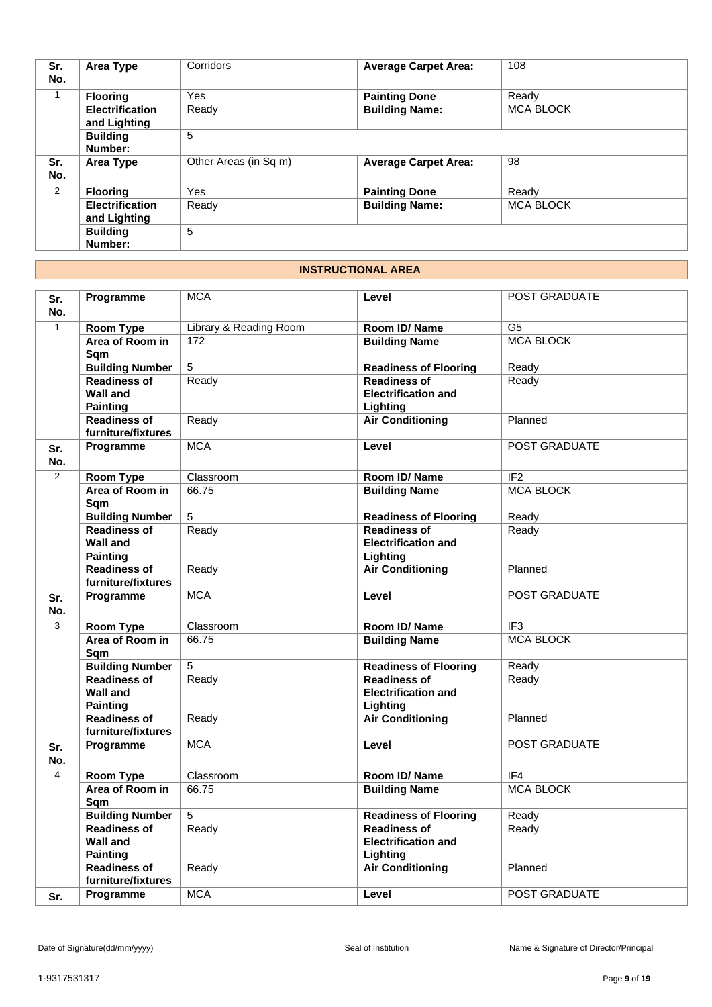| Sr.<br>No.   | Area Type                              | Corridors             | <b>Average Carpet Area:</b> | 108              |
|--------------|----------------------------------------|-----------------------|-----------------------------|------------------|
| $\mathbf{1}$ | <b>Flooring</b>                        | Yes                   | <b>Painting Done</b>        | Ready            |
|              | <b>Electrification</b><br>and Lighting | Ready                 | <b>Building Name:</b>       | <b>MCA BLOCK</b> |
|              | <b>Building</b><br>Number:             | 5                     |                             |                  |
| Sr.<br>No.   | Area Type                              | Other Areas (in Sq m) | <b>Average Carpet Area:</b> | 98               |
| 2            | <b>Flooring</b>                        | Yes                   | <b>Painting Done</b>        | Ready            |
|              | <b>Electrification</b><br>and Lighting | Ready                 | <b>Building Name:</b>       | <b>MCA BLOCK</b> |
|              | <b>Building</b><br>Number:             | 5                     |                             |                  |

# **INSTRUCTIONAL AREA**

| Sr.<br>No.   | Programme                                                 | <b>MCA</b>             | Level                                                         | POST GRADUATE        |
|--------------|-----------------------------------------------------------|------------------------|---------------------------------------------------------------|----------------------|
| $\mathbf{1}$ | <b>Room Type</b>                                          | Library & Reading Room | Room ID/Name                                                  | G <sub>5</sub>       |
|              | Area of Room in<br>Sqm                                    | 172                    | <b>Building Name</b>                                          | <b>MCA BLOCK</b>     |
|              | <b>Building Number</b>                                    | $\overline{5}$         | <b>Readiness of Flooring</b>                                  | Ready                |
|              | <b>Readiness of</b><br><b>Wall and</b><br><b>Painting</b> | Ready                  | <b>Readiness of</b><br><b>Electrification and</b><br>Lighting | Ready                |
|              | <b>Readiness of</b><br>furniture/fixtures                 | Ready                  | <b>Air Conditioning</b>                                       | Planned              |
| Sr.<br>No.   | Programme                                                 | <b>MCA</b>             | Level                                                         | <b>POST GRADUATE</b> |
| 2            | <b>Room Type</b>                                          | Classroom              | Room ID/Name                                                  | IF <sub>2</sub>      |
|              | Area of Room in<br>Sqm                                    | 66.75                  | <b>Building Name</b>                                          | <b>MCA BLOCK</b>     |
|              | <b>Building Number</b>                                    | 5                      | <b>Readiness of Flooring</b>                                  | Ready                |
|              | <b>Readiness of</b><br><b>Wall and</b><br><b>Painting</b> | Ready                  | <b>Readiness of</b><br><b>Electrification and</b><br>Lighting | Ready                |
|              | <b>Readiness of</b><br>furniture/fixtures                 | Ready                  | <b>Air Conditioning</b>                                       | Planned              |
| Sr.<br>No.   | Programme                                                 | <b>MCA</b>             | Level                                                         | POST GRADUATE        |
| 3            | Room Type                                                 | Classroom              | Room ID/Name                                                  | IF <sub>3</sub>      |
|              | Area of Room in<br>Sqm                                    | 66.75                  | <b>Building Name</b>                                          | <b>MCA BLOCK</b>     |
|              | <b>Building Number</b>                                    | 5                      | <b>Readiness of Flooring</b>                                  | Ready                |
|              | <b>Readiness of</b><br><b>Wall and</b><br><b>Painting</b> | Ready                  | <b>Readiness of</b><br><b>Electrification and</b><br>Lighting | Ready                |
|              | <b>Readiness of</b><br>furniture/fixtures                 | Ready                  | <b>Air Conditioning</b>                                       | Planned              |
| Sr.<br>No.   | Programme                                                 | <b>MCA</b>             | Level                                                         | <b>POST GRADUATE</b> |
| 4            | Room Type                                                 | Classroom              | Room ID/Name                                                  | IF4                  |
|              | Area of Room in<br>Sqm                                    | 66.75                  | <b>Building Name</b>                                          | <b>MCA BLOCK</b>     |
|              | <b>Building Number</b>                                    | 5                      | <b>Readiness of Flooring</b>                                  | Ready                |
|              | <b>Readiness of</b><br><b>Wall and</b><br><b>Painting</b> | Ready                  | <b>Readiness of</b><br><b>Electrification and</b><br>Lighting | Ready                |
|              | <b>Readiness of</b><br>furniture/fixtures                 | Ready                  | <b>Air Conditioning</b>                                       | Planned              |
| Sr.          | Programme                                                 | <b>MCA</b>             | Level                                                         | <b>POST GRADUATE</b> |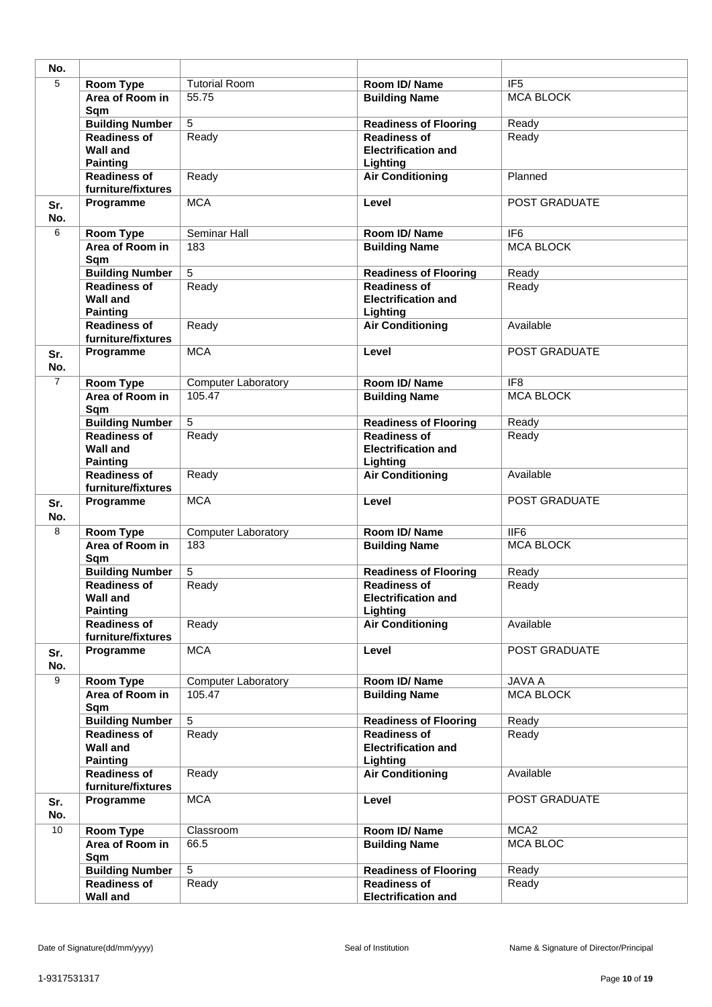| No.            |                                                           |                            |                                                               |                  |
|----------------|-----------------------------------------------------------|----------------------------|---------------------------------------------------------------|------------------|
| $\overline{5}$ | <b>Room Type</b>                                          | <b>Tutorial Room</b>       | Room ID/Name                                                  | IF <sub>5</sub>  |
|                | Area of Room in<br>Sqm                                    | 55.75                      | <b>Building Name</b>                                          | <b>MCA BLOCK</b> |
|                | <b>Building Number</b>                                    | $\overline{5}$             | <b>Readiness of Flooring</b>                                  | Ready            |
|                | <b>Readiness of</b><br><b>Wall and</b><br><b>Painting</b> | Ready                      | <b>Readiness of</b><br><b>Electrification and</b><br>Lighting | Ready            |
|                | <b>Readiness of</b><br>furniture/fixtures                 | Ready                      | <b>Air Conditioning</b>                                       | Planned          |
| Sr.<br>No.     | Programme                                                 | <b>MCA</b>                 | Level                                                         | POST GRADUATE    |
| 6              | Room Type                                                 | Seminar Hall               | Room ID/ Name                                                 | IF <sub>6</sub>  |
|                | Area of Room in<br>Sqm                                    | 183                        | <b>Building Name</b>                                          | <b>MCA BLOCK</b> |
|                | <b>Building Number</b>                                    | $\overline{5}$             | <b>Readiness of Flooring</b>                                  | Ready            |
|                | <b>Readiness of</b><br><b>Wall and</b><br><b>Painting</b> | Ready                      | <b>Readiness of</b><br><b>Electrification and</b><br>Lighting | Ready            |
|                | <b>Readiness of</b><br>furniture/fixtures                 | Ready                      | <b>Air Conditioning</b>                                       | Available        |
| Sr.<br>No.     | Programme                                                 | <b>MCA</b>                 | Level                                                         | POST GRADUATE    |
| $\overline{7}$ | Room Type                                                 | Computer Laboratory        | Room ID/Name                                                  | IF <sub>8</sub>  |
|                | Area of Room in<br>Sqm                                    | 105.47                     | <b>Building Name</b>                                          | <b>MCA BLOCK</b> |
|                | <b>Building Number</b>                                    | $\overline{5}$             | <b>Readiness of Flooring</b>                                  | Ready            |
|                | <b>Readiness of</b><br><b>Wall and</b><br><b>Painting</b> | Ready                      | <b>Readiness of</b><br><b>Electrification and</b><br>Lighting | Ready            |
|                | <b>Readiness of</b><br>furniture/fixtures                 | Ready                      | <b>Air Conditioning</b>                                       | Available        |
| Sr.<br>No.     | Programme                                                 | <b>MCA</b>                 | Level                                                         | POST GRADUATE    |
| 8              | <b>Room Type</b>                                          | <b>Computer Laboratory</b> | Room ID/Name                                                  | IIF6             |
|                | Area of Room in<br>Sqm                                    | 183                        | <b>Building Name</b>                                          | <b>MCA BLOCK</b> |
|                | <b>Building Number</b>                                    | 5                          | <b>Readiness of Flooring</b>                                  | Ready            |
|                | <b>Readiness of</b><br>Wall and<br><b>Painting</b>        | Ready                      | <b>Readiness of</b><br><b>Electrification and</b><br>Lighting | Ready            |
|                | <b>Readiness of</b><br>furniture/fixtures                 | Ready                      | <b>Air Conditioning</b>                                       | Available        |
| Sr.<br>No.     | Programme                                                 | <b>MCA</b>                 | Level                                                         | POST GRADUATE    |
| $\overline{9}$ | Room Type                                                 | <b>Computer Laboratory</b> | Room ID/Name                                                  | JAVA A           |
|                | Area of Room in<br>Sqm                                    | 105.47                     | <b>Building Name</b>                                          | <b>MCA BLOCK</b> |
|                | <b>Building Number</b>                                    | 5                          | <b>Readiness of Flooring</b>                                  | Ready            |
|                | <b>Readiness of</b><br><b>Wall and</b><br><b>Painting</b> | Ready                      | <b>Readiness of</b><br><b>Electrification and</b><br>Lighting | Ready            |
|                | <b>Readiness of</b><br>furniture/fixtures                 | Ready                      | <b>Air Conditioning</b>                                       | Available        |
| Sr.<br>No.     | Programme                                                 | <b>MCA</b>                 | Level                                                         | POST GRADUATE    |
| 10             | <b>Room Type</b>                                          | Classroom                  | Room ID/Name                                                  | MCA <sub>2</sub> |
|                | Area of Room in<br>Sqm                                    | 66.5                       | <b>Building Name</b>                                          | <b>MCA BLOC</b>  |
|                | <b>Building Number</b>                                    | $\overline{5}$             | <b>Readiness of Flooring</b>                                  | Ready            |
|                | <b>Readiness of</b><br><b>Wall and</b>                    | Ready                      | <b>Readiness of</b><br><b>Electrification and</b>             | Ready            |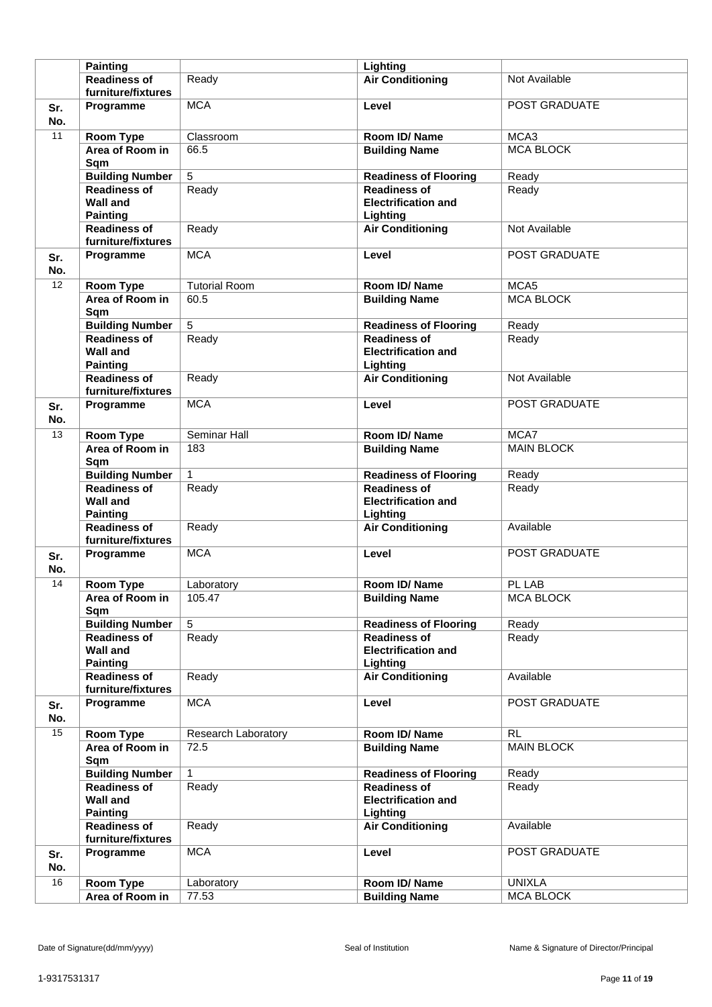|            | <b>Painting</b>                                           |                      | Lighting                                                      |                   |
|------------|-----------------------------------------------------------|----------------------|---------------------------------------------------------------|-------------------|
|            | <b>Readiness of</b>                                       | Ready                | <b>Air Conditioning</b>                                       | Not Available     |
|            | furniture/fixtures                                        |                      |                                                               |                   |
| Sr.<br>No. | Programme                                                 | <b>MCA</b>           | Level                                                         | POST GRADUATE     |
| 11         | <b>Room Type</b>                                          | Classroom            | Room ID/Name                                                  | MCA3              |
|            | Area of Room in<br>Sqm                                    | 66.5                 | <b>Building Name</b>                                          | <b>MCA BLOCK</b>  |
|            | <b>Building Number</b>                                    | 5                    | <b>Readiness of Flooring</b>                                  | Ready             |
|            | <b>Readiness of</b>                                       | Ready                | <b>Readiness of</b>                                           | Ready             |
|            | <b>Wall and</b><br><b>Painting</b>                        |                      | <b>Electrification and</b><br>Lighting                        |                   |
|            | <b>Readiness of</b><br>furniture/fixtures                 | Ready                | <b>Air Conditioning</b>                                       | Not Available     |
| Sr.<br>No. | Programme                                                 | <b>MCA</b>           | Level                                                         | POST GRADUATE     |
| 12         | <b>Room Type</b>                                          | <b>Tutorial Room</b> | Room ID/Name                                                  | MCA <sub>5</sub>  |
|            | Area of Room in<br>Sqm                                    | 60.5                 | <b>Building Name</b>                                          | <b>MCA BLOCK</b>  |
|            | <b>Building Number</b>                                    | 5                    | <b>Readiness of Flooring</b>                                  | Ready             |
|            | <b>Readiness of</b><br><b>Wall and</b><br><b>Painting</b> | Ready                | <b>Readiness of</b><br><b>Electrification and</b><br>Lighting | Ready             |
|            | <b>Readiness of</b><br>furniture/fixtures                 | Ready                | <b>Air Conditioning</b>                                       | Not Available     |
| Sr.<br>No. | Programme                                                 | <b>MCA</b>           | Level                                                         | POST GRADUATE     |
| 13         | <b>Room Type</b>                                          | Seminar Hall         | Room ID/Name                                                  | MCA7              |
|            | Area of Room in<br>Sqm                                    | 183                  | <b>Building Name</b>                                          | <b>MAIN BLOCK</b> |
|            | <b>Building Number</b>                                    | $\mathbf{1}$         | <b>Readiness of Flooring</b>                                  | Ready             |
|            | <b>Readiness of</b><br><b>Wall and</b><br><b>Painting</b> | Ready                | <b>Readiness of</b><br><b>Electrification and</b><br>Lighting | Ready             |
|            | <b>Readiness of</b><br>furniture/fixtures                 | Ready                | <b>Air Conditioning</b>                                       | Available         |
| Sr.<br>No. | Programme                                                 | <b>MCA</b>           | Level                                                         | POST GRADUATE     |
| 14         | Room Type                                                 | Laboratory           | Room ID/Name                                                  | PL LAB            |
|            | Area of Room in<br>Sqm                                    | 105.47               | <b>Building Name</b>                                          | MCA BLOCK         |
|            | <b>Building Number</b>                                    | $\overline{5}$       | <b>Readiness of Flooring</b>                                  | Ready             |
|            | <b>Readiness of</b><br><b>Wall and</b><br><b>Painting</b> | Ready                | <b>Readiness of</b><br><b>Electrification and</b><br>Lighting | Ready             |
|            | <b>Readiness of</b><br>furniture/fixtures                 | Ready                | <b>Air Conditioning</b>                                       | Available         |
| Sr.<br>No. | Programme                                                 | <b>MCA</b>           | Level                                                         | POST GRADUATE     |
| 15         | Room Type                                                 | Research Laboratory  | Room ID/Name                                                  | <b>RL</b>         |
|            | Area of Room in<br>Sqm                                    | 72.5                 | <b>Building Name</b>                                          | <b>MAIN BLOCK</b> |
|            | <b>Building Number</b>                                    | $\mathbf{1}$         | <b>Readiness of Flooring</b>                                  | Ready             |
|            | <b>Readiness of</b><br><b>Wall and</b><br><b>Painting</b> | Ready                | <b>Readiness of</b><br><b>Electrification and</b><br>Lighting | Ready             |
|            | <b>Readiness of</b><br>furniture/fixtures                 | Ready                | <b>Air Conditioning</b>                                       | Available         |
| Sr.<br>No. | Programme                                                 | <b>MCA</b>           | Level                                                         | POST GRADUATE     |
| 16         | <b>Room Type</b>                                          | Laboratory           | Room ID/Name                                                  | <b>UNIXLA</b>     |
|            | Area of Room in                                           | 77.53                | <b>Building Name</b>                                          | <b>MCA BLOCK</b>  |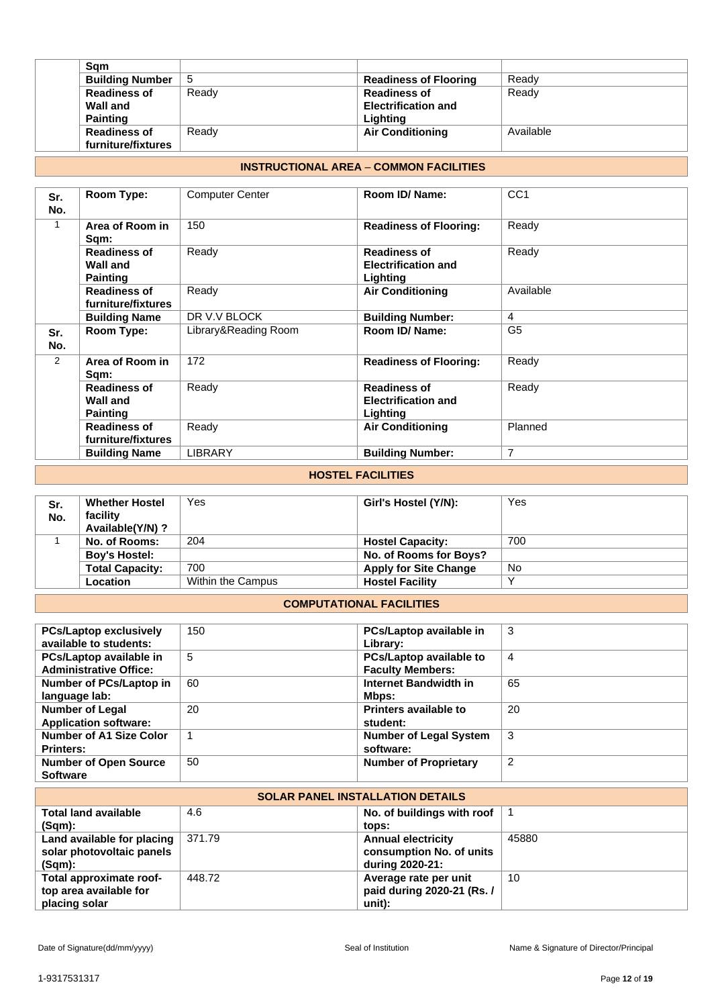| Sam                    |       |                              |           |
|------------------------|-------|------------------------------|-----------|
| <b>Building Number</b> | 5     | <b>Readiness of Flooring</b> | Ready     |
| <b>Readiness of</b>    | Ready | <b>Readiness of</b>          | Ready     |
| Wall and               |       | <b>Electrification and</b>   |           |
| <b>Painting</b>        |       | Lighting                     |           |
| <b>Readiness of</b>    | Ready | <b>Air Conditioning</b>      | Available |
| furniture/fixtures     |       |                              |           |

# **INSTRUCTIONAL AREA** – **COMMON FACILITIES**

| Sr.<br>No. | Room Type:                                                | <b>Computer Center</b> | Room ID/ Name:                                                | CC <sub>1</sub> |
|------------|-----------------------------------------------------------|------------------------|---------------------------------------------------------------|-----------------|
| 1          | Area of Room in<br>Sqm:                                   | 150                    | <b>Readiness of Flooring:</b>                                 | Ready           |
|            | <b>Readiness of</b><br><b>Wall and</b><br><b>Painting</b> | Ready                  | <b>Readiness of</b><br><b>Electrification and</b><br>Lighting | Ready           |
|            | <b>Readiness of</b><br>furniture/fixtures                 | Ready                  | <b>Air Conditioning</b>                                       | Available       |
|            | <b>Building Name</b>                                      | DR V.V BLOCK           | <b>Building Number:</b>                                       | 4               |
| Sr.<br>No. | Room Type:                                                | Library&Reading Room   | Room ID/ Name:                                                | G <sub>5</sub>  |
| 2          | Area of Room in<br>Sqm:                                   | 172                    | <b>Readiness of Flooring:</b>                                 | Ready           |
|            | <b>Readiness of</b><br><b>Wall and</b><br><b>Painting</b> | Ready                  | <b>Readiness of</b><br><b>Electrification and</b><br>Lighting | Ready           |
|            | <b>Readiness of</b><br>furniture/fixtures                 | Ready                  | <b>Air Conditioning</b>                                       | Planned         |
|            | <b>Building Name</b>                                      | <b>LIBRARY</b>         | <b>Building Number:</b>                                       | $\overline{7}$  |

# **HOSTEL FACILITIES**

| Sr.<br>No. | <b>Whether Hostel</b><br>facility<br>Available(Y/N)? | Yes               | Girl's Hostel (Y/N):         | Yes |
|------------|------------------------------------------------------|-------------------|------------------------------|-----|
|            | No. of Rooms:                                        | 204               | <b>Hostel Capacity:</b>      | 700 |
|            | <b>Boy's Hostel:</b>                                 |                   | No. of Rooms for Boys?       |     |
|            | <b>Total Capacity:</b>                               | 700               | <b>Apply for Site Change</b> | No  |
|            | Location                                             | Within the Campus | <b>Hostel Facility</b>       |     |

#### **COMPUTATIONAL FACILITIES**

| <b>PCs/Laptop exclusively</b><br>available to students:  | 150 | PCs/Laptop available in<br>Library:                | 3              |
|----------------------------------------------------------|-----|----------------------------------------------------|----------------|
| PCs/Laptop available in<br><b>Administrative Office:</b> | 5   | PCs/Laptop available to<br><b>Faculty Members:</b> | $\overline{4}$ |
| Number of PCs/Laptop in<br>language lab:                 | 60  | Internet Bandwidth in<br>Mbps:                     | 65             |
| <b>Number of Legal</b><br><b>Application software:</b>   | 20  | <b>Printers available to</b><br>student:           | 20             |
| <b>Number of A1 Size Color</b><br><b>Printers:</b>       |     | <b>Number of Legal System</b><br>software:         | 3              |
| <b>Number of Open Source</b><br><b>Software</b>          | 50  | <b>Number of Proprietary</b>                       | $\overline{2}$ |

| <b>SOLAR PANEL INSTALLATION DETAILS</b> |        |                            |       |  |
|-----------------------------------------|--------|----------------------------|-------|--|
| <b>Total land available</b>             | 4.6    | No. of buildings with roof |       |  |
| $(Sqm)$ :                               |        | tops:                      |       |  |
| Land available for placing              | 371.79 | <b>Annual electricity</b>  | 45880 |  |
| solar photovoltaic panels               |        | consumption No. of units   |       |  |
| $(Sqm)$ :                               |        | during 2020-21:            |       |  |
| Total approximate roof-                 | 448.72 | Average rate per unit      | 10    |  |
| top area available for                  |        | paid during 2020-21 (Rs. / |       |  |
| placing solar                           |        | unit):                     |       |  |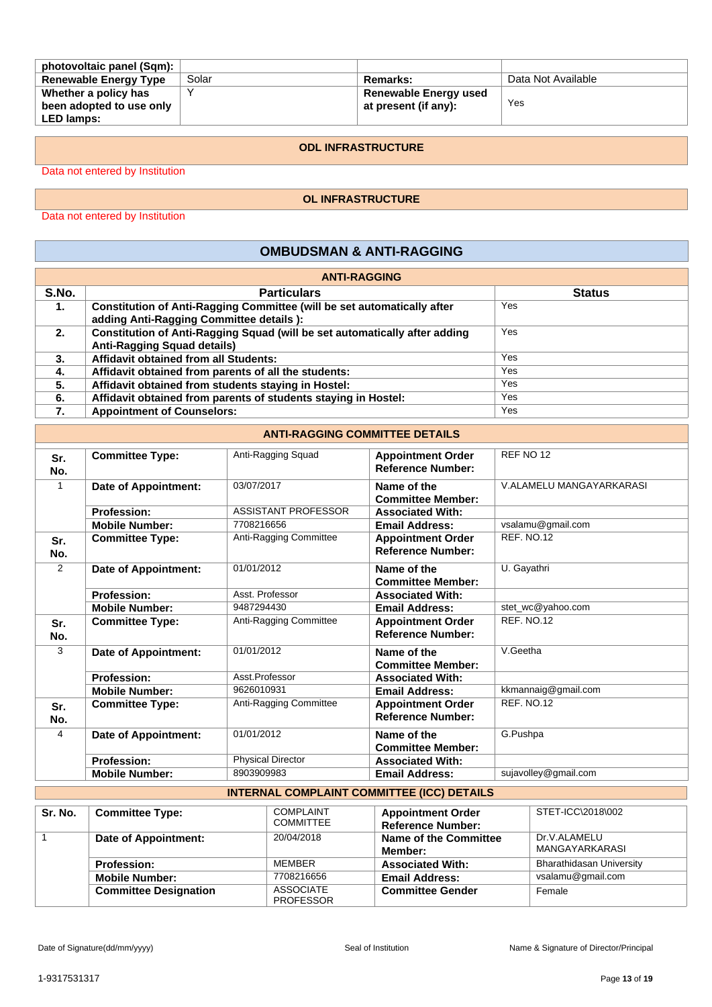| photovoltaic panel (Sqm):    |       |                              |                    |
|------------------------------|-------|------------------------------|--------------------|
| <b>Renewable Energy Type</b> | Solar | Remarks:                     | Data Not Available |
| Whether a policy has         |       | <b>Renewable Energy used</b> |                    |
| been adopted to use only     |       | at present (if any):         | Yes                |
| <b>LED lamps:</b>            |       |                              |                    |

#### **ODL INFRASTRUCTURE**

Data not entered by Institution

#### **OL INFRASTRUCTURE**

Data not entered by Institution

# **OMBUDSMAN & ANTI-RAGGING**

| <b>ANTI-RAGGING</b> |                                                                            |               |  |  |
|---------------------|----------------------------------------------------------------------------|---------------|--|--|
| S.No.               | <b>Particulars</b>                                                         | <b>Status</b> |  |  |
| 1.                  | Constitution of Anti-Ragging Committee (will be set automatically after    | Yes           |  |  |
|                     | adding Anti-Ragging Committee details ):                                   |               |  |  |
| 2.                  | Constitution of Anti-Ragging Squad (will be set automatically after adding | Yes           |  |  |
|                     | <b>Anti-Ragging Squad details)</b>                                         |               |  |  |
| 3.                  | <b>Affidavit obtained from all Students:</b>                               | Yes           |  |  |
| 4.                  | Affidavit obtained from parents of all the students:                       | Yes           |  |  |
| 5.                  | Affidavit obtained from students staying in Hostel:                        | Yes           |  |  |
| 6.                  | Affidavit obtained from parents of students staying in Hostel:             | Yes           |  |  |
| 7.                  | <b>Appointment of Counselors:</b>                                          | Yes           |  |  |

## **ANTI-RAGGING COMMITTEE DETAILS**

| Sr. | <b>Committee Type:</b> | Anti-Ragging Squad       | <b>Appointment Order</b> | REF NO <sub>12</sub>     |
|-----|------------------------|--------------------------|--------------------------|--------------------------|
| No. |                        |                          | <b>Reference Number:</b> |                          |
|     | Date of Appointment:   | 03/07/2017               | Name of the              | V.ALAMELU MANGAYARKARASI |
|     |                        |                          | <b>Committee Member:</b> |                          |
|     | <b>Profession:</b>     | ASSISTANT PROFESSOR      | <b>Associated With:</b>  |                          |
|     | <b>Mobile Number:</b>  | 7708216656               | <b>Email Address:</b>    | vsalamu@gmail.com        |
| Sr. | <b>Committee Type:</b> | Anti-Ragging Committee   | <b>Appointment Order</b> | <b>REF. NO.12</b>        |
| No. |                        |                          | <b>Reference Number:</b> |                          |
| 2   | Date of Appointment:   | 01/01/2012               | Name of the              | U. Gayathri              |
|     |                        |                          | <b>Committee Member:</b> |                          |
|     | <b>Profession:</b>     | Asst. Professor          | <b>Associated With:</b>  |                          |
|     | <b>Mobile Number:</b>  | 9487294430               | <b>Email Address:</b>    | stet_wc@yahoo.com        |
| Sr. | <b>Committee Type:</b> | Anti-Ragging Committee   | <b>Appointment Order</b> | <b>REF. NO.12</b>        |
| No. |                        |                          | <b>Reference Number:</b> |                          |
| 3   | Date of Appointment:   | 01/01/2012               | Name of the              | V.Geetha                 |
|     |                        |                          | <b>Committee Member:</b> |                          |
|     | <b>Profession:</b>     | Asst.Professor           | <b>Associated With:</b>  |                          |
|     | <b>Mobile Number:</b>  | 9626010931               | <b>Email Address:</b>    | kkmannaig@gmail.com      |
| Sr. | <b>Committee Type:</b> | Anti-Ragging Committee   | <b>Appointment Order</b> | <b>REF. NO.12</b>        |
| No. |                        |                          | <b>Reference Number:</b> |                          |
| 4   | Date of Appointment:   | 01/01/2012               | Name of the              | G.Pushpa                 |
|     |                        |                          | <b>Committee Member:</b> |                          |
|     | <b>Profession:</b>     | <b>Physical Director</b> | <b>Associated With:</b>  |                          |
|     | <b>Mobile Number:</b>  | 8903909983               | <b>Email Address:</b>    | sujavolley@gmail.com     |

# **INTERNAL COMPLAINT COMMITTEE (ICC) DETAILS**

| Sr. No. | <b>Committee Type:</b>       | <b>COMPLAINT</b><br><b>COMMITTEE</b> | <b>Appointment Order</b><br><b>Reference Number:</b> | STET-ICC\2018\002               |
|---------|------------------------------|--------------------------------------|------------------------------------------------------|---------------------------------|
|         | Date of Appointment:         | 20/04/2018                           | Name of the Committee<br>Member:                     | Dr.V.ALAMELU<br>MANGAYARKARASI  |
|         | <b>Profession:</b>           | MEMBER                               | <b>Associated With:</b>                              | <b>Bharathidasan University</b> |
|         | <b>Mobile Number:</b>        | 7708216656                           | <b>Email Address:</b>                                | vsalamu@gmail.com               |
|         | <b>Committee Designation</b> | <b>ASSOCIATE</b><br><b>PROFESSOR</b> | <b>Committee Gender</b>                              | Female                          |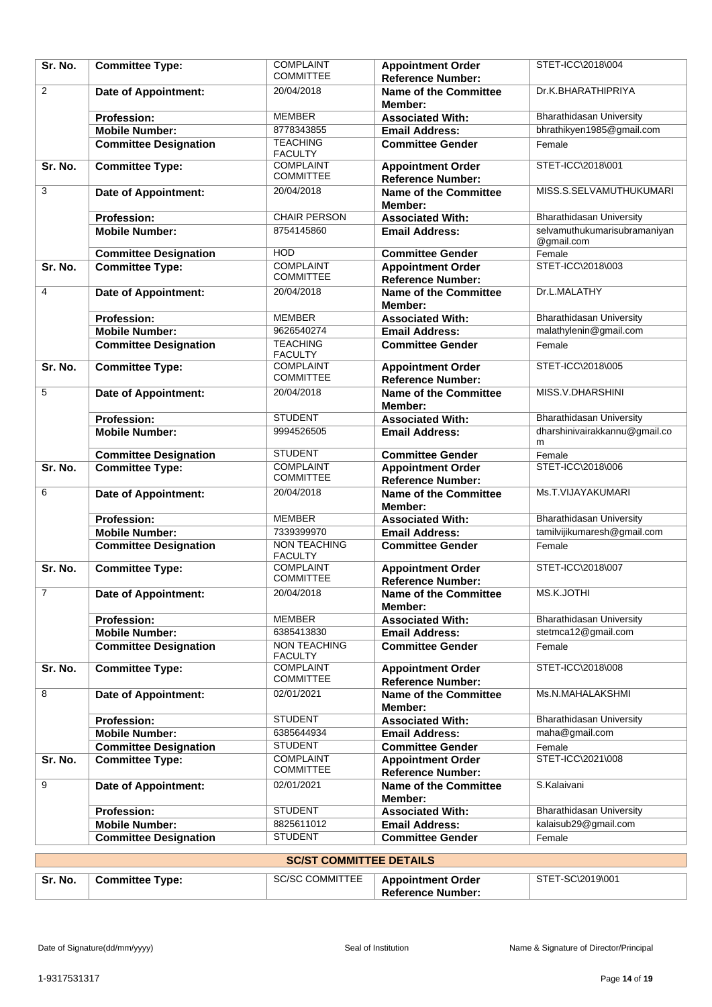| Sr. No.        | <b>Committee Type:</b>       | <b>COMPLAINT</b><br><b>COMMITTEE</b>  | <b>Appointment Order</b><br><b>Reference Number:</b> | STET-ICC\2018\004               |
|----------------|------------------------------|---------------------------------------|------------------------------------------------------|---------------------------------|
| 2              | <b>Date of Appointment:</b>  | 20/04/2018                            | <b>Name of the Committee</b><br>Member:              | Dr.K.BHARATHIPRIYA              |
|                | <b>Profession:</b>           | <b>MEMBER</b>                         | <b>Associated With:</b>                              | <b>Bharathidasan University</b> |
|                | <b>Mobile Number:</b>        | 8778343855                            | <b>Email Address:</b>                                | bhrathikyen1985@gmail.com       |
|                | <b>Committee Designation</b> | <b>TEACHING</b><br><b>FACULTY</b>     | <b>Committee Gender</b>                              | Female                          |
| Sr. No.        | <b>Committee Type:</b>       | <b>COMPLAINT</b><br><b>COMMITTEE</b>  | <b>Appointment Order</b><br><b>Reference Number:</b> | STET-ICC\2018\001               |
| 3              | <b>Date of Appointment:</b>  | 20/04/2018                            | <b>Name of the Committee</b><br>Member:              | MISS.S.SELVAMUTHUKUMARI         |
|                | <b>Profession:</b>           | <b>CHAIR PERSON</b>                   | <b>Associated With:</b>                              | <b>Bharathidasan University</b> |
|                | <b>Mobile Number:</b>        | 8754145860                            | <b>Email Address:</b>                                | selvamuthukumarisubramaniyan    |
|                |                              |                                       |                                                      | @gmail.com                      |
|                | <b>Committee Designation</b> | <b>HOD</b>                            | <b>Committee Gender</b>                              | Female                          |
| Sr. No.        | <b>Committee Type:</b>       | <b>COMPLAINT</b><br><b>COMMITTEE</b>  | <b>Appointment Order</b><br><b>Reference Number:</b> | STET-ICC\2018\003               |
| 4              | <b>Date of Appointment:</b>  | 20/04/2018                            | <b>Name of the Committee</b><br>Member:              | Dr.L.MALATHY                    |
|                | <b>Profession:</b>           | <b>MEMBER</b>                         | <b>Associated With:</b>                              | <b>Bharathidasan University</b> |
|                | <b>Mobile Number:</b>        | 9626540274                            | <b>Email Address:</b>                                | malathylenin@gmail.com          |
|                | <b>Committee Designation</b> | <b>TEACHING</b><br><b>FACULTY</b>     | <b>Committee Gender</b>                              | Female                          |
| Sr. No.        | <b>Committee Type:</b>       | <b>COMPLAINT</b><br><b>COMMITTEE</b>  | <b>Appointment Order</b><br><b>Reference Number:</b> | STET-ICC\2018\005               |
| 5              | <b>Date of Appointment:</b>  | 20/04/2018                            | <b>Name of the Committee</b><br>Member:              | MISS.V.DHARSHINI                |
|                | <b>Profession:</b>           | <b>STUDENT</b>                        | <b>Associated With:</b>                              | <b>Bharathidasan University</b> |
|                | <b>Mobile Number:</b>        | 9994526505                            | <b>Email Address:</b>                                | dharshinivairakkannu@gmail.co   |
|                |                              |                                       |                                                      | m                               |
|                | <b>Committee Designation</b> | <b>STUDENT</b>                        | <b>Committee Gender</b>                              | Female                          |
| Sr. No.        | <b>Committee Type:</b>       | <b>COMPLAINT</b><br><b>COMMITTEE</b>  | <b>Appointment Order</b>                             | STET-ICC\2018\006               |
| 6              |                              | 20/04/2018                            | <b>Reference Number:</b>                             | Ms.T.VIJAYAKUMARI               |
|                | <b>Date of Appointment:</b>  |                                       | <b>Name of the Committee</b><br>Member:              |                                 |
|                | <b>Profession:</b>           | <b>MEMBER</b>                         | <b>Associated With:</b>                              | <b>Bharathidasan University</b> |
|                | <b>Mobile Number:</b>        | 7339399970                            | <b>Email Address:</b>                                | tamilvijikumaresh@gmail.com     |
|                | <b>Committee Designation</b> | <b>NON TEACHING</b><br><b>FACULTY</b> | <b>Committee Gender</b>                              | Female                          |
| Sr. No.        | <b>Committee Type:</b>       | <b>COMPLAINT</b><br><b>COMMITTEE</b>  | <b>Appointment Order</b><br><b>Reference Number:</b> | STET-ICC\2018\007               |
| $\overline{7}$ | Date of Appointment:         | 20/04/2018                            | <b>Name of the Committee</b>                         | MS.K.JOTHI                      |
|                | <b>Profession:</b>           | <b>MEMBER</b>                         | Member:<br><b>Associated With:</b>                   | <b>Bharathidasan University</b> |
|                | <b>Mobile Number:</b>        | 6385413830                            | <b>Email Address:</b>                                | stetmca12@gmail.com             |
|                | <b>Committee Designation</b> | <b>NON TEACHING</b>                   | <b>Committee Gender</b>                              | Female                          |
|                |                              | <b>FACULTY</b>                        |                                                      |                                 |
| Sr. No.        | <b>Committee Type:</b>       | <b>COMPLAINT</b><br><b>COMMITTEE</b>  | <b>Appointment Order</b><br><b>Reference Number:</b> | STET-ICC\2018\008               |
| 8              | <b>Date of Appointment:</b>  | 02/01/2021                            | <b>Name of the Committee</b><br>Member:              | Ms.N.MAHALAKSHMI                |
|                | <b>Profession:</b>           | <b>STUDENT</b>                        | <b>Associated With:</b>                              | <b>Bharathidasan University</b> |
|                | <b>Mobile Number:</b>        | 6385644934                            | <b>Email Address:</b>                                | maha@gmail.com                  |
|                | <b>Committee Designation</b> | <b>STUDENT</b>                        | <b>Committee Gender</b>                              | Female                          |
| Sr. No.        | <b>Committee Type:</b>       | <b>COMPLAINT</b><br><b>COMMITTEE</b>  | <b>Appointment Order</b><br><b>Reference Number:</b> | STET-ICC\2021\008               |
| 9              | Date of Appointment:         | 02/01/2021                            | <b>Name of the Committee</b><br>Member:              | S.Kalaivani                     |
|                | <b>Profession:</b>           | <b>STUDENT</b>                        | <b>Associated With:</b>                              | <b>Bharathidasan University</b> |
|                | <b>Mobile Number:</b>        | 8825611012                            | <b>Email Address:</b>                                | kalaisub29@gmail.com            |
|                | <b>Committee Designation</b> | <b>STUDENT</b>                        | <b>Committee Gender</b>                              | Female                          |
|                |                              |                                       |                                                      |                                 |
|                |                              | <b>SC/ST COMMITTEE DETAILS</b>        |                                                      |                                 |
| Sr. No.        | <b>Committee Type:</b>       | <b>SC/SC COMMITTEE</b>                | <b>Appointment Order</b>                             | STET-SC\2019\001                |

**Reference Number:**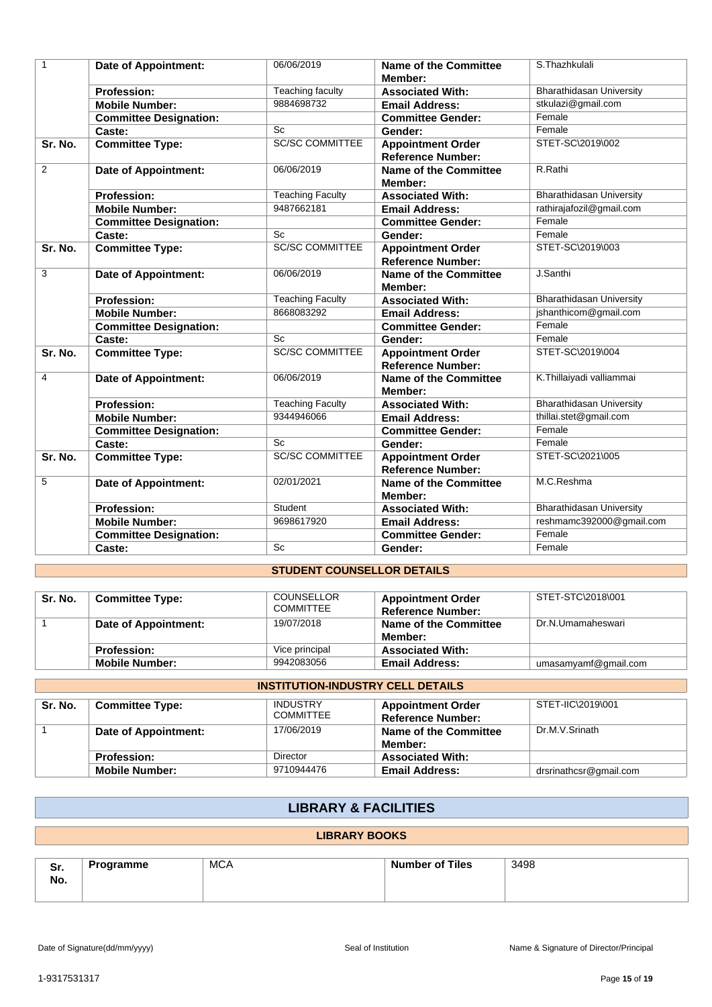| $\mathbf{1}$ | <b>Date of Appointment:</b>   | 06/06/2019              | Name of the Committee<br>Member:                     | S.Thazhkulali                   |
|--------------|-------------------------------|-------------------------|------------------------------------------------------|---------------------------------|
|              | <b>Profession:</b>            | Teaching faculty        | <b>Associated With:</b>                              | <b>Bharathidasan University</b> |
|              | <b>Mobile Number:</b>         | 9884698732              | <b>Email Address:</b>                                | stkulazi@gmail.com              |
|              | <b>Committee Designation:</b> |                         | <b>Committee Gender:</b>                             | Female                          |
|              | Caste:                        | <b>Sc</b>               | Gender:                                              | Female                          |
| Sr. No.      | <b>Committee Type:</b>        | <b>SC/SC COMMITTEE</b>  | <b>Appointment Order</b><br><b>Reference Number:</b> | STET-SC\2019\002                |
| 2            | Date of Appointment:          | 06/06/2019              | <b>Name of the Committee</b><br>Member:              | R.Rathi                         |
|              | <b>Profession:</b>            | <b>Teaching Faculty</b> | <b>Associated With:</b>                              | <b>Bharathidasan University</b> |
|              | <b>Mobile Number:</b>         | 9487662181              | <b>Email Address:</b>                                | rathirajafozil@gmail.com        |
|              | <b>Committee Designation:</b> |                         | <b>Committee Gender:</b>                             | Female                          |
|              | Caste:                        | Sc                      | Gender:                                              | Female                          |
| Sr. No.      | <b>Committee Type:</b>        | <b>SC/SC COMMITTEE</b>  | <b>Appointment Order</b><br><b>Reference Number:</b> | STET-SC\2019\003                |
| 3            | Date of Appointment:          | 06/06/2019              | Name of the Committee<br>Member:                     | J.Santhi                        |
|              | <b>Profession:</b>            | <b>Teaching Faculty</b> | <b>Associated With:</b>                              | <b>Bharathidasan University</b> |
|              | <b>Mobile Number:</b>         | 8668083292              | <b>Email Address:</b>                                | jshanthicom@gmail.com           |
|              | <b>Committee Designation:</b> |                         | <b>Committee Gender:</b>                             | Female                          |
|              | Caste:                        | Sc                      | Gender:                                              | Female                          |
| Sr. No.      | <b>Committee Type:</b>        | <b>SC/SC COMMITTEE</b>  | <b>Appointment Order</b><br><b>Reference Number:</b> | STET-SC\2019\004                |
| 4            | Date of Appointment:          | 06/06/2019              | <b>Name of the Committee</b><br>Member:              | K.Thillaiyadi valliammai        |
|              | <b>Profession:</b>            | Teaching Faculty        | <b>Associated With:</b>                              | <b>Bharathidasan University</b> |
|              | <b>Mobile Number:</b>         | 9344946066              | <b>Email Address:</b>                                | thillai.stet@gmail.com          |
|              | <b>Committee Designation:</b> |                         | <b>Committee Gender:</b>                             | Female                          |
|              | Caste:                        | <b>Sc</b>               | Gender:                                              | Female                          |
| Sr. No.      | <b>Committee Type:</b>        | <b>SC/SC COMMITTEE</b>  | <b>Appointment Order</b><br><b>Reference Number:</b> | STET-SC\2021\005                |
| 5            | Date of Appointment:          | 02/01/2021              | <b>Name of the Committee</b><br>Member:              | M.C.Reshma                      |
|              | <b>Profession:</b>            | Student                 | <b>Associated With:</b>                              | <b>Bharathidasan University</b> |
|              | <b>Mobile Number:</b>         | 9698617920              | <b>Email Address:</b>                                | reshmamc392000@gmail.com        |
|              | <b>Committee Designation:</b> |                         | <b>Committee Gender:</b>                             | Female                          |
|              | Caste:                        | Sc                      | Gender:                                              | Female                          |

# **STUDENT COUNSELLOR DETAILS**

| Sr. No. | <b>Committee Type:</b> | <b>COUNSELLOR</b><br><b>COMMITTEE</b> | <b>Appointment Order</b><br><b>Reference Number:</b> | STET-STC\2018\001    |
|---------|------------------------|---------------------------------------|------------------------------------------------------|----------------------|
|         | Date of Appointment:   | 19/07/2018                            | Name of the Committee<br>Member:                     | Dr.N.Umamaheswari    |
|         | <b>Profession:</b>     | Vice principal                        | <b>Associated With:</b>                              |                      |
|         | <b>Mobile Number:</b>  | 9942083056                            | <b>Email Address:</b>                                | umasamyamf@gmail.com |

|                                                                                                                                                       | <b>INSTITUTION-INDUSTRY CELL DETAILS</b> |                 |                                  |                        |  |
|-------------------------------------------------------------------------------------------------------------------------------------------------------|------------------------------------------|-----------------|----------------------------------|------------------------|--|
| <b>INDUSTRY</b><br>STET-IIC\2019\001<br>Sr. No.<br><b>Appointment Order</b><br><b>Committee Type:</b><br><b>COMMITTEE</b><br><b>Reference Number:</b> |                                          |                 |                                  |                        |  |
|                                                                                                                                                       | Date of Appointment:                     | 17/06/2019      | Name of the Committee<br>Member: | Dr.M.V.Srinath         |  |
|                                                                                                                                                       | <b>Profession:</b>                       | <b>Director</b> | <b>Associated With:</b>          |                        |  |
|                                                                                                                                                       | <b>Mobile Number:</b>                    | 9710944476      | <b>Email Address:</b>            | drsrinathcsr@gmail.com |  |

# **LIBRARY & FACILITIES**

#### **LIBRARY BOOKS**

| Sr. | Programme<br>-- | <b>MCA</b> | <b>Number of Tiles</b> | 3498 |
|-----|-----------------|------------|------------------------|------|
| No. |                 |            |                        |      |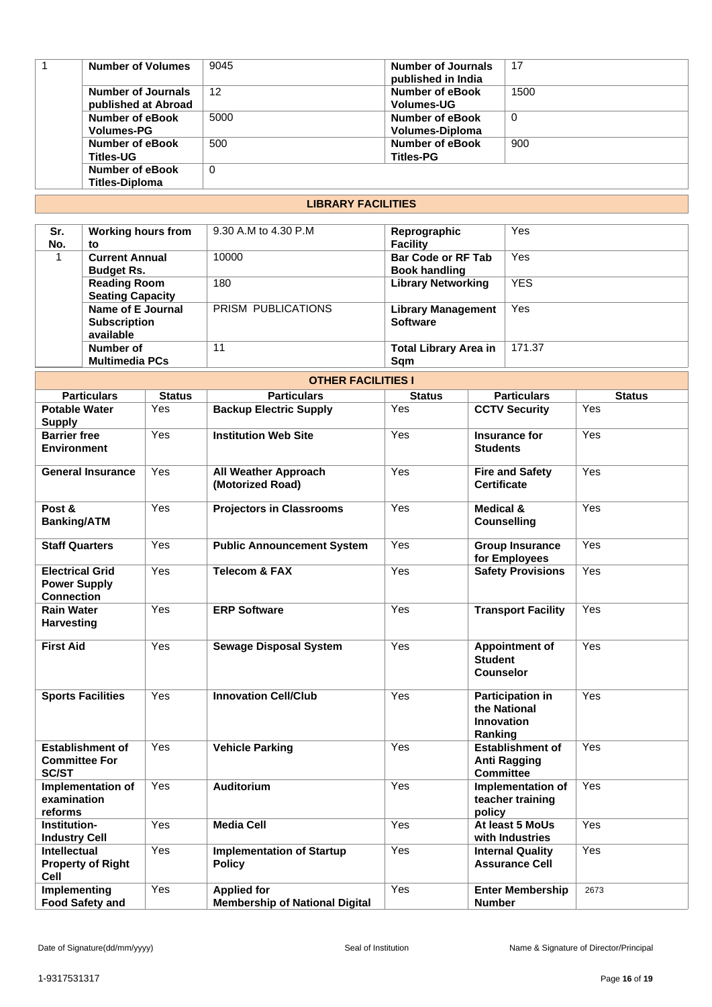| <b>Number of Volumes</b>                   | 9045 | <b>Number of Journals</b><br>published in India | 17       |
|--------------------------------------------|------|-------------------------------------------------|----------|
| Number of Journals<br>published at Abroad  | 12   | Number of eBook<br><b>Volumes-UG</b>            | 1500     |
| Number of eBook<br><b>Volumes-PG</b>       | 5000 | Number of eBook<br>Volumes-Diploma              | $\Omega$ |
| <b>Number of eBook</b><br><b>Titles-UG</b> | 500  | Number of eBook<br><b>Titles-PG</b>             | 900      |
| Number of eBook<br><b>Titles-Diploma</b>   | 0    |                                                 |          |

# **LIBRARY FACILITIES**

| Sr.<br>No. | <b>Working hours from</b><br>to                       | 9.30 A.M to 4.30 P.M | Reprographic<br><b>Facility</b>                   | Yes        |
|------------|-------------------------------------------------------|----------------------|---------------------------------------------------|------------|
|            | <b>Current Annual</b><br><b>Budget Rs.</b>            | 10000                | <b>Bar Code or RF Tab</b><br><b>Book handling</b> | Yes        |
|            | <b>Reading Room</b><br><b>Seating Capacity</b>        | 180                  | <b>Library Networking</b>                         | <b>YES</b> |
|            | Name of E Journal<br><b>Subscription</b><br>available | PRISM PUBLICATIONS   | <b>Library Management</b><br><b>Software</b>      | Yes        |
|            | Number of<br><b>Multimedia PCs</b>                    | 11                   | <b>Total Library Area in</b><br>Sqm               | 171.37     |

| <b>OTHER FACILITIES I</b>                                          |               |                                                             |               |                                                                         |               |  |
|--------------------------------------------------------------------|---------------|-------------------------------------------------------------|---------------|-------------------------------------------------------------------------|---------------|--|
| <b>Particulars</b>                                                 | <b>Status</b> | <b>Particulars</b>                                          | <b>Status</b> | <b>Particulars</b>                                                      | <b>Status</b> |  |
| <b>Potable Water</b><br><b>Supply</b>                              | Yes           | <b>Backup Electric Supply</b>                               | Yes           | <b>CCTV Security</b>                                                    | Yes           |  |
| <b>Barrier free</b><br><b>Environment</b>                          | Yes           | <b>Institution Web Site</b>                                 | Yes           | Insurance for<br><b>Students</b>                                        | Yes           |  |
| <b>General Insurance</b>                                           | Yes           | <b>All Weather Approach</b><br>(Motorized Road)             | Yes           | <b>Fire and Safety</b><br><b>Certificate</b>                            | Yes           |  |
| Post &<br><b>Banking/ATM</b>                                       | Yes           | <b>Projectors in Classrooms</b>                             | Yes           | <b>Medical &amp;</b><br><b>Counselling</b>                              | Yes           |  |
| <b>Staff Quarters</b>                                              | Yes           | <b>Public Announcement System</b>                           | Yes           | <b>Group Insurance</b><br>for Employees                                 | Yes           |  |
| <b>Electrical Grid</b><br><b>Power Supply</b><br><b>Connection</b> | Yes           | <b>Telecom &amp; FAX</b>                                    | Yes           | <b>Safety Provisions</b>                                                | Yes           |  |
| <b>Rain Water</b><br><b>Harvesting</b>                             | Yes           | <b>ERP Software</b>                                         | Yes           | <b>Transport Facility</b>                                               | Yes           |  |
| <b>First Aid</b>                                                   | Yes           | <b>Sewage Disposal System</b>                               | Yes           | <b>Appointment of</b><br><b>Student</b><br><b>Counselor</b>             | Yes           |  |
| <b>Sports Facilities</b>                                           | Yes           | <b>Innovation Cell/Club</b>                                 | Yes           | <b>Participation in</b><br>the National<br><b>Innovation</b><br>Ranking | Yes           |  |
| <b>Establishment of</b><br><b>Committee For</b><br><b>SC/ST</b>    | Yes           | <b>Vehicle Parking</b>                                      | Yes           | <b>Establishment of</b><br><b>Anti Ragging</b><br>Committee             | Yes           |  |
| Implementation of<br>examination<br>reforms                        | Yes           | <b>Auditorium</b>                                           | Yes           | Implementation of<br>teacher training<br>policy                         | Yes           |  |
| Institution-<br><b>Industry Cell</b>                               | Yes           | <b>Media Cell</b>                                           | Yes           | At least 5 MoUs<br>with Industries                                      | Yes           |  |
| <b>Intellectual</b><br><b>Property of Right</b><br>Cell            | Yes           | <b>Implementation of Startup</b><br><b>Policy</b>           | Yes           | <b>Internal Quality</b><br><b>Assurance Cell</b>                        | Yes           |  |
| Implementing<br><b>Food Safety and</b>                             | Yes           | <b>Applied for</b><br><b>Membership of National Digital</b> | Yes           | <b>Enter Membership</b><br><b>Number</b>                                | 2673          |  |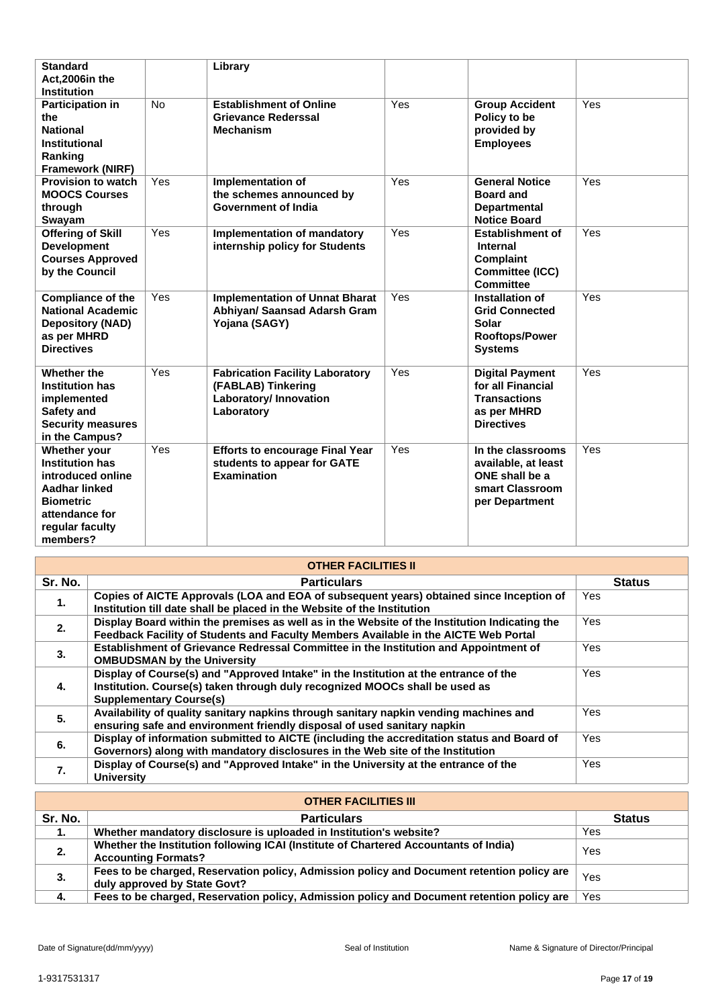| <b>Standard</b><br>Act.2006in the<br><b>Institution</b>                                                                                           |     | Library                                                                                              |     |                                                                                                        |     |
|---------------------------------------------------------------------------------------------------------------------------------------------------|-----|------------------------------------------------------------------------------------------------------|-----|--------------------------------------------------------------------------------------------------------|-----|
| <b>Participation in</b><br>the<br><b>National</b><br>Institutional<br>Ranking<br>Framework (NIRF)                                                 | No  | <b>Establishment of Online</b><br><b>Grievance Rederssal</b><br><b>Mechanism</b>                     | Yes | <b>Group Accident</b><br>Policy to be<br>provided by<br><b>Employees</b>                               | Yes |
| <b>Provision to watch</b><br><b>MOOCS Courses</b><br>through<br>Swayam                                                                            | Yes | Implementation of<br>the schemes announced by<br><b>Government of India</b>                          | Yes | <b>General Notice</b><br><b>Board and</b><br><b>Departmental</b><br><b>Notice Board</b>                | Yes |
| <b>Offering of Skill</b><br><b>Development</b><br><b>Courses Approved</b><br>by the Council                                                       | Yes | Implementation of mandatory<br>internship policy for Students                                        | Yes | <b>Establishment of</b><br><b>Internal</b><br>Complaint<br>Committee (ICC)<br><b>Committee</b>         | Yes |
| <b>Compliance of the</b><br><b>National Academic</b><br><b>Depository (NAD)</b><br>as per MHRD<br><b>Directives</b>                               | Yes | <b>Implementation of Unnat Bharat</b><br>Abhiyan/ Saansad Adarsh Gram<br>Yojana (SAGY)               | Yes | Installation of<br><b>Grid Connected</b><br><b>Solar</b><br><b>Rooftops/Power</b><br><b>Systems</b>    | Yes |
| Whether the<br><b>Institution has</b><br>implemented<br>Safety and<br><b>Security measures</b><br>in the Campus?                                  | Yes | <b>Fabrication Facility Laboratory</b><br>(FABLAB) Tinkering<br>Laboratory/ Innovation<br>Laboratory | Yes | <b>Digital Payment</b><br>for all Financial<br><b>Transactions</b><br>as per MHRD<br><b>Directives</b> | Yes |
| Whether your<br><b>Institution has</b><br>introduced online<br>Aadhar linked<br><b>Biometric</b><br>attendance for<br>regular faculty<br>members? | Yes | <b>Efforts to encourage Final Year</b><br>students to appear for GATE<br><b>Examination</b>          | Yes | In the classrooms<br>available, at least<br>ONE shall be a<br>smart Classroom<br>per Department        | Yes |

| <b>OTHER FACILITIES II</b> |                                                                                                                                                                                                       |               |  |
|----------------------------|-------------------------------------------------------------------------------------------------------------------------------------------------------------------------------------------------------|---------------|--|
| Sr. No.                    | <b>Particulars</b>                                                                                                                                                                                    | <b>Status</b> |  |
| 1.                         | Copies of AICTE Approvals (LOA and EOA of subsequent years) obtained since Inception of<br>Institution till date shall be placed in the Website of the Institution                                    | <b>Yes</b>    |  |
| 2.                         | Display Board within the premises as well as in the Website of the Institution Indicating the<br>Feedback Facility of Students and Faculty Members Available in the AICTE Web Portal                  | <b>Yes</b>    |  |
| 3.                         | Establishment of Grievance Redressal Committee in the Institution and Appointment of<br><b>OMBUDSMAN by the University</b>                                                                            | Yes           |  |
| 4.                         | Display of Course(s) and "Approved Intake" in the Institution at the entrance of the<br>Institution. Course(s) taken through duly recognized MOOCs shall be used as<br><b>Supplementary Course(s)</b> | Yes           |  |
| 5.                         | Availability of quality sanitary napkins through sanitary napkin vending machines and<br>ensuring safe and environment friendly disposal of used sanitary napkin                                      | Yes           |  |
| 6.                         | Display of information submitted to AICTE (including the accreditation status and Board of<br>Governors) along with mandatory disclosures in the Web site of the Institution                          | <b>Yes</b>    |  |
| 7.                         | Display of Course(s) and "Approved Intake" in the University at the entrance of the<br><b>University</b>                                                                                              | Yes           |  |

| <b>OTHER FACILITIES III</b> |                                                                                                                            |               |  |
|-----------------------------|----------------------------------------------------------------------------------------------------------------------------|---------------|--|
| Sr. No.                     | <b>Particulars</b>                                                                                                         | <b>Status</b> |  |
| 1.                          | Whether mandatory disclosure is uploaded in Institution's website?                                                         | Yes           |  |
| 2.                          | Whether the Institution following ICAI (Institute of Chartered Accountants of India)<br><b>Accounting Formats?</b>         | Yes           |  |
| 3.                          | Fees to be charged, Reservation policy, Admission policy and Document retention policy are<br>duly approved by State Govt? | Yes           |  |
| 4.                          | Fees to be charged, Reservation policy, Admission policy and Document retention policy are                                 | Yes           |  |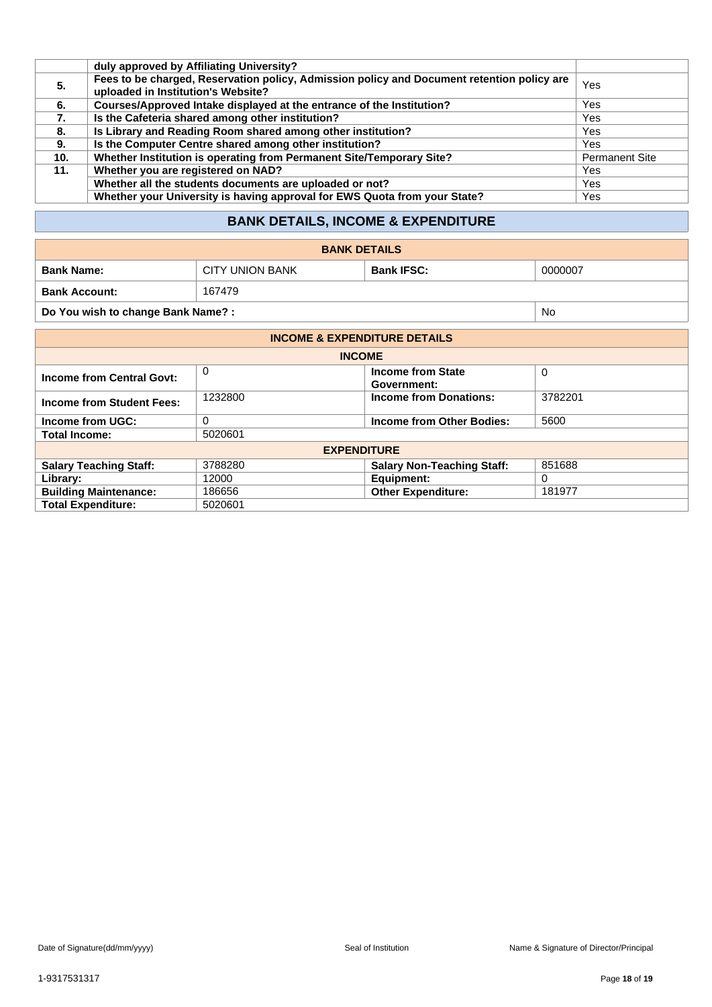|                 | duly approved by Affiliating University?                                                                                         |                       |
|-----------------|----------------------------------------------------------------------------------------------------------------------------------|-----------------------|
| 5.              | Fees to be charged, Reservation policy, Admission policy and Document retention policy are<br>uploaded in Institution's Website? | Yes                   |
| 6.              | Courses/Approved Intake displayed at the entrance of the Institution?                                                            | Yes                   |
| 7.              | Is the Cafeteria shared among other institution?                                                                                 | Yes                   |
| 8.              | Is Library and Reading Room shared among other institution?                                                                      | <b>Yes</b>            |
| 9.              | Is the Computer Centre shared among other institution?                                                                           | Yes                   |
| 10 <sub>1</sub> | Whether Institution is operating from Permanent Site/Temporary Site?                                                             | <b>Permanent Site</b> |
| 11.             | Whether you are registered on NAD?                                                                                               | Yes                   |
|                 | Whether all the students documents are uploaded or not?                                                                          | Yes                   |
|                 | Whether your University is having approval for EWS Quota from your State?                                                        | Yes                   |

# **BANK DETAILS, INCOME & EXPENDITURE**

| <b>BANK DETAILS</b>                     |                        |                   |         |  |
|-----------------------------------------|------------------------|-------------------|---------|--|
| <b>Bank Name:</b>                       | <b>CITY UNION BANK</b> | <b>Bank IFSC:</b> | 0000007 |  |
| <b>Bank Account:</b>                    | 167479                 |                   |         |  |
| Do You wish to change Bank Name?:<br>No |                        |                   |         |  |

| <b>INCOME &amp; EXPENDITURE DETAILS</b> |         |                                         |             |  |
|-----------------------------------------|---------|-----------------------------------------|-------------|--|
| <b>INCOME</b>                           |         |                                         |             |  |
| <b>Income from Central Govt:</b>        | 0       | <b>Income from State</b><br>Government: | $\mathbf 0$ |  |
| <b>Income from Student Fees:</b>        | 1232800 | <b>Income from Donations:</b>           | 3782201     |  |
| Income from UGC:                        | 0       | Income from Other Bodies:               | 5600        |  |
| <b>Total Income:</b>                    | 5020601 |                                         |             |  |
| <b>EXPENDITURE</b>                      |         |                                         |             |  |
| <b>Salary Teaching Staff:</b>           | 3788280 | <b>Salary Non-Teaching Staff:</b>       | 851688      |  |
| Library:                                | 12000   | Equipment:                              | 0           |  |
| <b>Building Maintenance:</b>            | 186656  | <b>Other Expenditure:</b>               | 181977      |  |
| <b>Total Expenditure:</b>               | 5020601 |                                         |             |  |